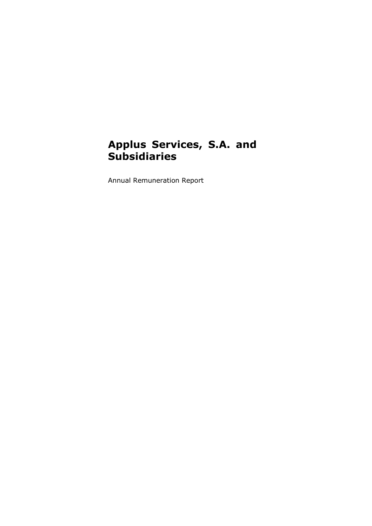# **Applus Services, S.A. and Subsidiaries**

Annual Remuneration Report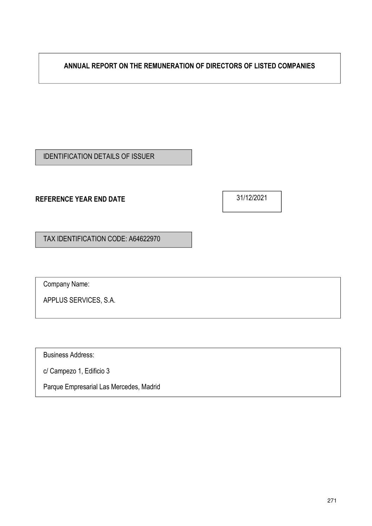**ANNUAL REPORT ON THE REMUNERATION OF DIRECTORS OF LISTED COMPANIES**

IDENTIFICATION DETAILS OF ISSUER

## **REFERENCE YEAR END DATE**

31/12/2021

TAX IDENTIFICATION CODE: A64622970

Company Name:

APPLUS SERVICES, S.A.

Business Address:

c/ Campezo 1, Edificio 3

Parque Empresarial Las Mercedes, Madrid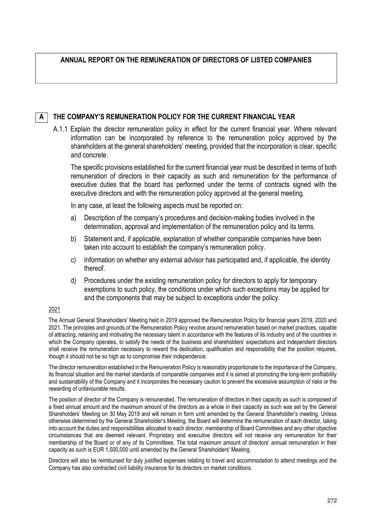## **ANNUAL REPORT ON THE REMUNERATION OF DIRECTORS OF LISTED COMPANIES**

#### **THE COMPANY'S REMUNERATION POLICY FOR THE CURRENT FINANCIAL YEAR A**

A.1.1 Explain the director remuneration policy in effect for the current financial year. Where relevant information can be incorporated by reference to the remuneration policy approved by the shareholders at the general shareholders' meeting, provided that the incorporation is clear, specific and concrete.

The specific provisions established for the current financial year must be described in terms of both remuneration of directors in their capacity as such and remuneration for the performance of executive duties that the board has performed under the terms of contracts signed with the executive directors and with the remuneration policy approved at the general meeting.

In any case, at least the following aspects must be reported on:

- a) Description of the company's procedures and decision-making bodies involved in the determination, approval and implementation of the remuneration policy and its terms.
- b) Statement and, if applicable, explanation of whether comparable companies have been taken into account to establish the company's remuneration policy.
- c) Information on whether any external advisor has participated and, if applicable, the identity thereof.
- d) Procedures under the existing remuneration policy for directors to apply for temporary exemptions to such policy, the conditions under which such exceptions may be applied for and the components that may be subject to exceptions under the policy.

### 2021

The Annual General Shareholders' Meeting held in 2019 approved the Remuneration Policy for financial years 2019, 2020 and 2021. The principles and grounds of the Remuneration Policy revolve around remuneration based on market practices, capable of attracting, retaining and motivating the necessary talent in accordance with the features of its industry and of the countries in which the Company operates, to satisfy the needs of the business and shareholders' expectations and independent directors shall receive the remuneration necessary to reward the dedication, qualification and responsibility that the position requires, though it should not be so high as to compromise their independence.

The director remuneration established in the Remuneration Policy is reasonably proportionate to the importance of the Company, its financial situation and the market standards of comparable companies and it is aimed at promoting the long-term profitability and sustainability of the Company and it incorporates the necessary caution to prevent the excessive assumption of risks or the rewarding of unfavourable results.

The position of director of the Company is remunerated. The remuneration of directors in their capacity as such is composed of a fixed annual amount and the maximum amount of the directors as a whole in their capacity as such was set by the General Shareholders' Meeting on 30 May 2019 and will remain in form until amended by the General Shareholder's meeting. Unless otherwise determined by the General Shareholder's Meeting, the Board will determine the remuneration of each director, taking into account the duties and responsibilities allocated to each director, membership of Board Committees and any other objective circumstances that are deemed relevant. Proprietary and executive directors will not receive any remuneration for their membership of the Board or of any of its Committees. The total maximum amount of directors' annual remuneration in their capacity as such is EUR 1,500,000 until amended by the General Shareholders' Meeting.

Directors will also be reimbursed for duly justified expenses relating to travel and accommodation to attend meetings and the Company has also contracted civil liability insurance for its directors on market conditions.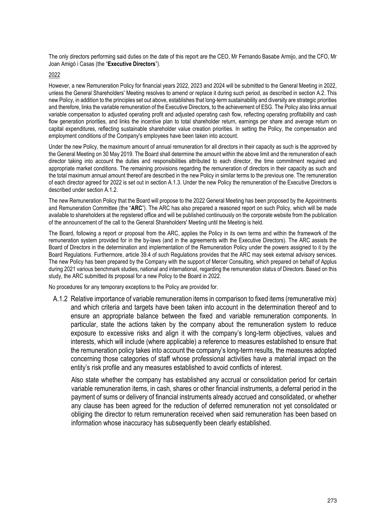The only directors performing said duties on the date of this report are the CEO, Mr Fernando Basabe Armijo, and the CFO, Mr Joan Amigó i Casas (the "**Executive Directors**").

2022

However, a new Remuneration Policy for financial years 2022, 2023 and 2024 will be submitted to the General Meeting in 2022, unless the General Shareholders' Meeting resolves to amend or replace it during such period, as described in section A.2. This new Policy, in addition to the principles set out above, establishes that long-term sustainability and diversity are strategic priorities and therefore, links the variable remuneration of the Executive Directors, to the achievement of ESG. The Policy also links annual variable compensation to adjusted operating profit and adjusted operating cash flow, reflecting operating profitability and cash flow generation priorities, and links the incentive plan to total shareholder return, earnings per share and average return on capital expenditures, reflecting sustainable shareholder value creation priorities. In setting the Policy, the compensation and employment conditions of the Company's employees have been taken into account.

Under the new Policy, the maximum amount of annual remuneration for all directors in their capacity as such is the approved by the General Meeting on 30 May 2019. The Board shall determine the amount within the above limit and the remuneration of each director taking into account the duties and responsibilities attributed to each director, the time commitment required and appropriate market conditions. The remaining provisions regarding the remuneration of directors in their capacity as such and the total maximum annual amount thereof are described in the new Policy in similar terms to the previous one. The remuneration of each director agreed for 2022 is set out in section A.1.3. Under the new Policy the remuneration of the Executive Directors is described under section A.1.2.

The new Remuneration Policy that the Board will propose to the 2022 General Meeting has been proposed by the Appointments and Remuneration Committee (the "**ARC**"). The ARC has also prepared a reasoned report on such Policy, which will be made available to shareholders at the registered office and will be published continuously on the corporate website from the publication of the announcement of the call to the General Shareholders' Meeting until the Meeting is held.

The Board, following a report or proposal from the ARC, applies the Policy in its own terms and within the framework of the remuneration system provided for in the by-laws (and in the agreements with the Executive Directors). The ARC assists the Board of Directors in the determination and implementation of the Remuneration Policy under the powers assigned to it by the Board Regulations. Furthermore, article 39.4 of such Regulations provides that the ARC may seek external advisory services. The new Policy has been prepared by the Company with the support of Mercer Consulting, which prepared on behalf of Applus during 2021 various benchmark studies, national and international, regarding the remuneration status of Directors. Based on this study, the ARC submitted its proposal for a new Policy to the Board in 2022.

No procedures for any temporary exceptions to the Policy are provided for.

A.1.2 Relative importance of variable remuneration items in comparison to fixed items (remunerative mix) and which criteria and targets have been taken into account in the determination thereof and to ensure an appropriate balance between the fixed and variable remuneration components. In particular, state the actions taken by the company about the remuneration system to reduce exposure to excessive risks and align it with the company's long-term objectives, values and interests, which will include (where applicable) a reference to measures established to ensure that the remuneration policy takes into account the company's long-term results, the measures adopted concerning those categories of staff whose professional activities have a material impact on the entity's risk profile and any measures established to avoid conflicts of interest.

Also state whether the company has established any accrual or consolidation period for certain variable remuneration items, in cash, shares or other financial instruments, a deferral period in the payment of sums or delivery of financial instruments already accrued and consolidated, or whether any clause has been agreed for the reduction of deferred remuneration not yet consolidated or obliging the director to return remuneration received when said remuneration has been based on information whose inaccuracy has subsequently been clearly established.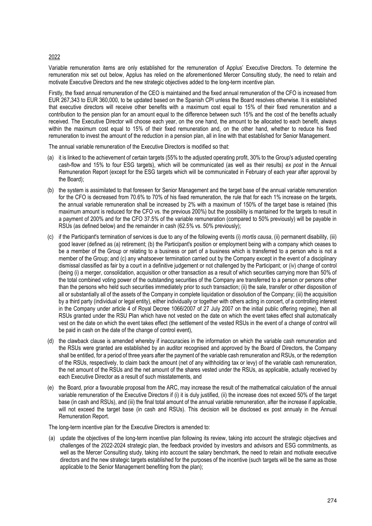### 2022

Variable remuneration items are only established for the remuneration of Applus' Executive Directors. To determine the remuneration mix set out below, Applus has relied on the aforementioned Mercer Consulting study, the need to retain and motivate Executive Directors and the new strategic objectives added to the long-term incentive plan.

Firstly, the fixed annual remuneration of the CEO is maintained and the fixed annual remuneration of the CFO is increased from EUR 267,343 to EUR 360,000, to be updated based on the Spanish CPI unless the Board resolves otherwise. It is established that executive directors will receive other benefits with a maximum cost equal to 15% of their fixed remuneration and a contribution to the pension plan for an amount equal to the difference between such 15% and the cost of the benefits actually received. The Executive Director will choose each year, on the one hand, the amount to be allocated to each benefit, always within the maximum cost equal to 15% of their fixed remuneration and, on the other hand, whether to reduce his fixed remuneration to invest the amount of the reduction in a pension plan, all in line with that established for Senior Management.

The annual variable remuneration of the Executive Directors is modified so that:

- (a) it is linked to the achievement of certain targets (55% to the adjusted operating profit, 30% to the Group's adjusted operating cash-flow and 15% to four ESG targets), which will be communicated (as well as their results) *ex post* in the Annual Remuneration Report (except for the ESG targets which will be communicated in February of each year after approval by the Board);
- (b) the system is assimilated to that foreseen for Senior Management and the target base of the annual variable remuneration for the CFO is decreased from 70.6% to 70% of his fixed remuneration, the rule that for each 1% increase on the targets, the annual variable remuneration shall be increased by 2% with a maximum of 150% of the target base is retained (this maximum amount is reduced for the CFO vs. the previous 200%) but the possibility is mantained for the targets to result in a payment of 200% and for the CFO 37.5% of the variable remuneration (compared to 50% previously) will be payable in RSUs (as defined below) and the remainder in cash (62.5% vs. 50% previously);
- (c) if the Participant's termination of services is due to any of the following events (i) *mortis causa*, (ii) permanent disability, (iii) good leaver (defined as (a) retirement; (b) the Participant's position or employment being with a company which ceases to be a member of the Group or relating to a business or part of a business which is transferred to a person who is not a member of the Group; and (c) any whatsoever termination carried out by the Company except in the event of a disciplinary dismissal classified as fair by a court in a definitive judgement or not challenged by the Participant; or (iv) change of control (being (i) a merger, consolidation, acquisition or other transaction as a result of which securities carrying more than 50% of the total combined voting power of the outstanding securities of the Company are transferred to a person or persons other than the persons who held such securities immediately prior to such transaction; (ii) the sale, transfer or other disposition of all or substantially all of the assets of the Company in complete liquidation or dissolution of the Company; (iii) the acquisition by a third party (individual or legal entity), either individually or together with others acting in concert, of a controlling interest in the Company under article 4 of Royal Decree 1066/2007 of 27 July 2007 on the initial public offering regime), then all RSUs granted under the RSU Plan which have not vested on the date on which the event takes effect shall automatically vest on the date on which the event takes effect (the settlement of the vested RSUs in the event of a change of control will be paid in cash on the date of the change of control event),
- (d) the clawback clause is amended whereby if inaccuracies in the information on which the variable cash remuneration and the RSUs were granted are established by an auditor recognised and approved by the Board of Directors, the Company shall be entitled, for a period of three years after the payment of the variable cash remuneration and RSUs, or the redemption of the RSUs, respectively, to claim back the amount (net of any withholding tax or levy) of the variable cash remuneration, the net amount of the RSUs and the net amount of the shares vested under the RSUs, as applicable, actually received by each Executive Director as a result of such misstatements, and
- (e) the Board, prior a favourable proposal from the ARC, may increase the result of the mathematical calculation of the annual variable remuneration of the Executive Directors if (i) it is duly justified, (ii) the increase does not exceed 50% of the target base (in cash and RSUs), and (iii) the final total amount of the annual variable remuneration, after the increase if applicable, will not exceed the target base (in cash and RSUs). This decision will be disclosed ex post annualy in the Annual Remuneration Report.

The long-term incentive plan for the Executive Directors is amended to:

(a) update the objectives of the long-term incentive plan following its review, taking into account the strategic objectives and challenges of the 2022-2024 strategic plan, the feedback provided by investors and advisors and ESG commitments, as well as the Mercer Consulting study, taking into account the salary benchmark, the need to retain and motivate executive directors and the new strategic targets established for the purposes of the incentive (such targets will be the same as those applicable to the Senior Management benefiting from the plan);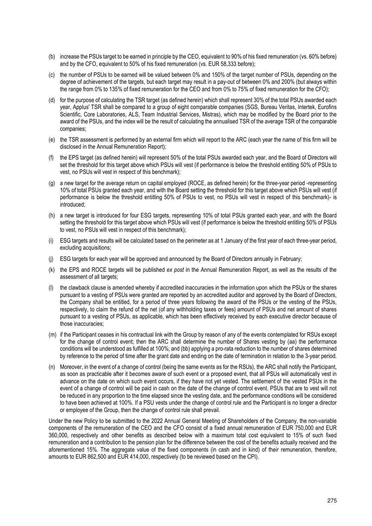- (b) increase the PSUs target to be earned in principle by the CEO, equivalent to 90% of his fixed remuneration (vs. 60% before) and by the CFO, equivalent to 50% of his fixed remuneration (vs. EUR 58,333 before);
- (c) the number of PSUs to be earned will be valued between 0% and 150% of the target number of PSUs, depending on the degree of achievement of the targets, but each target may result in a pay-out of between 0% and 200% (but always within the range from 0% to 135% of fixed remuneration for the CEO and from 0% to 75% of fixed remuneration for the CFO);
- (d) for the purpose of calculating the TSR target (as defined herein) which shall represent 30% of the total PSUs awarded each year, Applus' TSR shall be compared to a group of eight comparable companies (SGS, Bureau Veritas, Intertek, Eurofins Scientific, Core Laboratories, ALS, Team Industrial Services, Mistras), which may be modified by the Board prior to the award of the PSUs, and the index will be the result of calculating the annualised TSR of the average TSR of the comparable companies;
- (e) the TSR assessment is performed by an external firm which will report to the ARC (each year the name of this firm will be disclosed in the Annual Remuneration Report);
- (f) the EPS target (as defined herein) will represent 50% of the total PSUs awarded each year, and the Board of Directors will set the threshold for this target above which PSUs will vest (if performance is below the threshold entitling 50% of PSUs to vest, no PSUs will vest in respect of this benchmark);
- (g) a new target for the average return on capital employed (ROCE, as defined herein) for the three-year period -representing 10% of total PSUs granted each year, and with the Board setting the threshold for this target above which PSUs will vest (if performance is below the threshold entitling 50% of PSUs to vest, no PSUs will vest in respect of this benchmark)- is introduced;
- (h) a new target is introduced for four ESG targets, representing 10% of total PSUs granted each year, and with the Board setting the threshold for this target above which PSUs will vest (if performance is below the threshold entitling 50% of PSUs to vest, no PSUs will vest in respect of this benchmark);
- (i) ESG targets and results will be calculated based on the perimeter as at 1 January of the first year of each three-year period, excluding acquisitions;
- ESG targets for each year will be approved and announced by the Board of Directors annually in February;
- (k) the EPS and ROCE targets will be published *ex post* in the Annual Remuneration Report, as well as the results of the assessment of all targets;
- (l) the clawback clause is amended whereby if accredited inaccuracies in the information upon which the PSUs or the shares pursuant to a vesting of PSUs were granted are reported by an accredited auditor and approved by the Board of Directors, the Company shall be entitled, for a period of three years following the award of the PSUs or the vesting of the PSUs, respectively, to claim the refund of the net (of any withholding taxes or fees) amount of PSUs and net amount of shares pursuant to a vesting of PSUs, as applicable, which has been effectively received by each executive director because of those inaccuracies;
- (m) if the Participant ceases in his contractual link with the Group by reason of any of the events contemplated for RSUs except for the change of control event; then the ARC shall determine the number of Shares vesting by (aa) the performance conditions will be understood as fulfilled at 100%; and (bb) applying a pro-rata reduction to the number of shares determined by reference to the period of time after the grant date and ending on the date of termination in relation to the 3-year period.
- (n) Moreover, in the event of a change of control (being the same events as for the RSUs), the ARC shall notify the Participant, as soon as practicable after it becomes aware of such event or a proposed event, that all PSUs will automatically vest in advance on the date on which such event occurs, if they have not yet vested. The settlement of the vested PSUs in the event of a change of control will be paid in cash on the date of the change of control event. PSUs that are to vest will not be reduced in any proportion to the time elapsed since the vesting date, and the performance conditions will be considered to have been achieved at 100%. If a PSU vests under the change of control rule and the Participant is no longer a director or employee of the Group, then the change of control rule shall prevail.

Under the new Policy to be submitted to the 2022 Annual General Meeting of Shareholders of the Company, the non-variable components of the remuneration of the CEO and the CFO consist of a fixed annual remuneration of EUR 750,000 and EUR 360,000, respectively and other benefits as described below with a maximum total cost equivalent to 15% of such fixed remuneration and a contribution to the pension plan for the difference between the cost of the benefits actually received and the aforementioned 15%. The aggregate value of the fixed components (in cash and in kind) of their remuneration, therefore, amounts to EUR 862,500 and EUR 414,000, respectively (to be reviewed based on the CPI).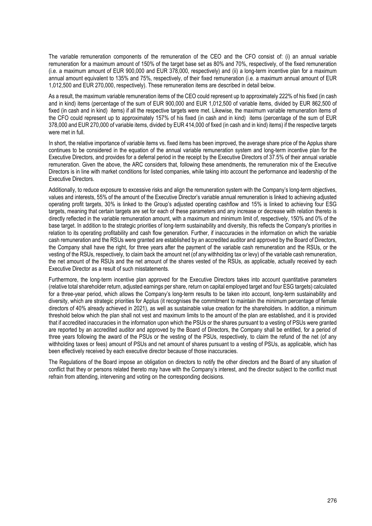The variable remuneration components of the remuneration of the CEO and the CFO consist of: (i) an annual variable remuneration for a maximum amount of 150% of the target base set as 80% and 70%, respectively, of the fixed remuneration (i.e. a maximum amount of EUR 900,000 and EUR 378,000, respectively) and (ii) a long-term incentive plan for a maximum annual amount equivalent to 135% and 75%, respectively, of their fixed remuneration (i.e. a maximum annual amount of EUR 1,012,500 and EUR 270,000, respectively). These remuneration items are described in detail below.

As a result, the maximum variable remuneration items of the CEO could represent up to approximately 222% of his fixed (in cash and in kind) items (percentage of the sum of EUR 900,000 and EUR 1,012,500 of variable items, divided by EUR 862,500 of fixed (in cash and in kind) items) if all the respective targets were met. Likewise, the maximum variable remuneration items of the CFO could represent up to approximately 157% of his fixed (in cash and in kind) items (percentage of the sum of EUR 378,000 and EUR 270,000 of variable items, divided by EUR 414,000 of fixed (in cash and in kind) items) if the respective targets were met in full.

In short, the relative importance of variable items vs. fixed items has been improved, the average share price of the Applus share continues to be considered in the equation of the annual variable remuneration system and long-term incentive plan for the Executive Directors, and provides for a deferral period in the receipt by the Executive Directors of 37.5% of their annual variable remuneration. Given the above, the ARC considers that, following these amendments, the remuneration mix of the Executive Directors is in line with market conditions for listed companies, while taking into account the performance and leadership of the Executive Directors.

Additionally, to reduce exposure to excessive risks and align the remuneration system with the Company's long-term objectives, values and interests, 55% of the amount of the Executive Director's variable annual remuneration is linked to achieving adjusted operating profit targets, 30% is linked to the Group's adjusted operating cashflow and 15% is linked to achieving four ESG targets, meaning that certain targets are set for each of these parameters and any increase or decrease with relation thereto is directly reflected in the variable remuneration amount, with a maximum and minimum limit of, respectively, 150% and 0% of the base target. In addition to the strategic priorities of long-term sustainability and diversity, this reflects the Company's priorities in relation to its operating profitability and cash flow generation. Further, if inaccuracies in the information on which the variable cash remuneration and the RSUs were granted are established by an accredited auditor and approved by the Board of Directors, the Company shall have the right, for three years after the payment of the variable cash remuneration and the RSUs, or the vesting of the RSUs, respectively, to claim back the amount net (of any withholding tax or levy) of the variable cash remuneration, the net amount of the RSUs and the net amount of the shares vested of the RSUs, as applicable, actually received by each Executive Director as a result of such misstatements.

Furthermore, the long-term incentive plan approved for the Executive Directors takes into account quantitative parameters (relative total shareholder return, adjusted earnings per share, return on capital employed target and four ESG targets) calculated for a three-year period, which allows the Company's long-term results to be taken into account, long-term sustainability and diversity, which are strategic priorities for Applus (it recognises the commitment to maintain the minimum percentage of female directors of 40% already achieved in 2021), as well as sustainable value creation for the shareholders. In addition, a minimum threshold below which the plan shall not vest and maximum limits to the amount of the plan are established, and it is provided that if accredited inaccuracies in the information upon which the PSUs or the shares pursuant to a vesting of PSUs were granted are reported by an accredited auditor and approved by the Board of Directors, the Company shall be entitled, for a period of three years following the award of the PSUs or the vesting of the PSUs, respectively, to claim the refund of the net (of any withholding taxes or fees) amount of PSUs and net amount of shares pursuant to a vesting of PSUs, as applicable, which has been effectively received by each executive director because of those inaccuracies.

The Regulations of the Board impose an obligation on directors to notify the other directors and the Board of any situation of conflict that they or persons related thereto may have with the Company's interest, and the director subject to the conflict must refrain from attending, intervening and voting on the corresponding decisions.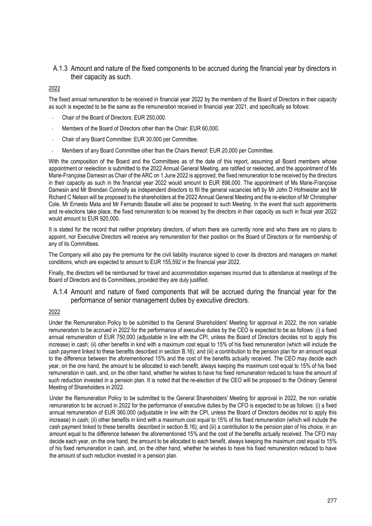### A.1.3 Amount and nature of the fixed components to be accrued during the financial year by directors in their capacity as such.

### 2022

The fixed annual remuneration to be received in financial year 2022 by the members of the Board of Directors in their capacity as such is expected to be the same as the remuneration received in financial year 2021, and specifically as follows:

- Chair of the Board of Directors: EUR 250,000.
- Members of the Board of Directors other than the Chair: EUR 60,000.
- Chair of any Board Committee: EUR 30,000 per Committee.
- Members of any Board Committee other than the Chairs thereof: EUR 20,000 per Committee.

With the composition of the Board and the Committees as of the date of this report, assuming all Board members whose appointment or reelection is submitted to the 2022 Annual General Meeting, are ratified or reelected, and the appointment of Ms Marie-Françoise Damesin as Chair of the ARC on 1 June 2022 is approved, the fixed remuneration to be received by the directors in their capacity as such in the financial year 2022 would amount to EUR 896,000. The appointment of Ms Marie-Françoise Damesin and Mr Brendan Connolly as independent directors to fill the general vacancies left by Mr John D Hofmeister and Mr Richard C Nelson will be proposed to the shareholders at the 2022 Annual General Meeting and the re-election of Mr Christopher Cole, Mr Ernesto Mata and Mr Fernando Basabe will also be proposed to such Meeting. In the event that such appointments and re-elections take place, the fixed remuneration to be received by the directors in their capacity as such in fiscal year 2022 would amount to EUR 920,000.

It is stated for the record that neither proprietary directors, of whom there are currently none and who there are no plans to appoint, nor Executive Directors will receive any remuneration for their position on the Board of Directors or for membership of any of its Committees.

The Company will also pay the premiums for the civil liability insurance signed to cover its directors and managers on market conditions, which are expected to amount to EUR 155,592 in the financial year 2022.

Finally, the directors will be reimbursed for travel and accommodation expenses incurred due to attendance at meetings of the Board of Directors and its Committees, provided they are duly justified.

### A.1.4 Amount and nature of fixed components that will be accrued during the financial year for the performance of senior management duties by executive directors.

### 2022

Under the Remuneration Policy to be submitted to the General Shareholders' Meeting for approval in 2022, the non variable remuneration to be accrued in 2022 for the performance of executive duties by the CEO is expected to be as follows: (i) a fixed annual remuneration of EUR 750,000 (adjustable in line with the CPI, unless the Board of Directors decides not to apply this increase) in cash; (ii) other benefits in kind with a maximum cost equal to 15% of his fixed remuneration (which will include the cash payment linked to these benefits described in section B.16); and (iii) a contribution to the pension plan for an amount equal to the difference between the aforementioned 15% and the cost of the benefits actually received. The CEO may decide each year, on the one hand, the amount to be allocated to each benefit, always keeping the maximum cost equal to 15% of his fixed remuneration in cash, and, on the other hand, whether he wishes to have his fixed remuneration reduced to have the amount of such reduction invested in a pension plan. It is noted that the re-election of the CEO will be proposed to the Ordinary General Meeting of Shareholders in 2022.

Under the Remuneration Policy to be submitted to the General Shareholders' Meeting for approval in 2022, the non variable remuneration to be accrued in 2022 for the performance of executive duties by the CFO is expected to be as follows: (i) a fixed annual remuneration of EUR 360,000 (adjustable in line with the CPI, unless the Board of Directors decides not to apply this increase) in cash; (ii) other benefits in kind with a maximum cost equal to 15% of his fixed remuneration (which will include the cash payment linked to these benefits described in section B.16); and (iii) a contribution to the pension plan of his choice, in an amount equal to the difference between the aforementioned 15% and the cost of the benefits actually received. The CFO may decide each year, on the one hand, the amount to be allocated to each benefit, always keeping the maximum cost equal to 15% of his fixed remuneration in cash, and, on the other hand, whether he wishes to have his fixed remuneration reduced to have the amount of such reduction invested in a pension plan.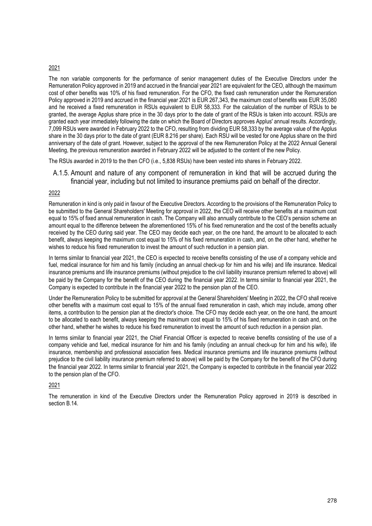### 2021

The non variable components for the performance of senior management duties of the Executive Directors under the Remuneration Policy approved in 2019 and accrued in the financial year 2021 are equivalent for the CEO, although the maximum cost of other benefits was 10% of his fixed remuneration. For the CFO, the fixed cash remuneration under the Remuneration Policy approved in 2019 and accrued in the financial year 2021 is EUR 267,343, the maximum cost of benefits was EUR 35,080 and he received a fixed remuneration in RSUs equivalent to EUR 58,333. For the calculation of the number of RSUs to be granted, the average Applus share price in the 30 days prior to the date of grant of the RSUs is taken into account. RSUs are granted each year immediately following the date on which the Board of Directors approves Applus' annual results. Accordingly, 7,099 RSUs were awarded in February 2022 to the CFO, resulting from dividing EUR 58,333 by the average value of the Applus share in the 30 days prior to the date of grant (EUR 8.216 per share). Each RSU will be vested for one Applus share on the third anniversary of the date of grant. However, subject to the approval of the new Remuneration Policy at the 2022 Annual General Meeting, the previous remuneration awarded in February 2022 will be adjusted to the content of the new Policy.

The RSUs awarded in 2019 to the then CFO (i.e., 5,838 RSUs) have been vested into shares in February 2022.

A.1.5. Amount and nature of any component of remuneration in kind that will be accrued during the financial year, including but not limited to insurance premiums paid on behalf of the director.

### 2022

Remuneration in kind is only paid in favour of the Executive Directors. According to the provisions of the Remuneration Policy to be submitted to the General Shareholders' Meeting for approval in 2022, the CEO will receive other benefits at a maximum cost equal to 15% of fixed annual remuneration in cash. The Company will also annually contribute to the CEO's pension scheme an amount equal to the difference between the aforementioned 15% of his fixed remuneration and the cost of the benefits actually received by the CEO during said year. The CEO may decide each year, on the one hand, the amount to be allocated to each benefit, always keeping the maximum cost equal to 15% of his fixed remuneration in cash, and, on the other hand, whether he wishes to reduce his fixed remuneration to invest the amount of such reduction in a pension plan.

In terms similar to financial year 2021, the CEO is expected to receive benefits consisting of the use of a company vehicle and fuel, medical insurance for him and his family (including an annual check-up for him and his wife) and life insurance. Medical insurance premiums and life insurance premiums (without prejudice to the civil liability insurance premium referred to above) will be paid by the Company for the benefit of the CEO during the financial year 2022. In terms similar to financial year 2021, the Company is expected to contribute in the financial year 2022 to the pension plan of the CEO.

Under the Remuneration Policy to be submitted for approval at the General Shareholders' Meeting in 2022, the CFO shall receive other benefits with a maximum cost equal to 15% of the annual fixed remuneration in cash, which may include, among other items, a contribution to the pension plan at the director's choice. The CFO may decide each year, on the one hand, the amount to be allocated to each benefit, always keeping the maximum cost equal to 15% of his fixed remuneration in cash and, on the other hand, whether he wishes to reduce his fixed remuneration to invest the amount of such reduction in a pension plan.

In terms similar to financial year 2021, the Chief Financial Officer is expected to receive benefits consisting of the use of a company vehicle and fuel, medical insurance for him and his family (including an annual check-up for him and his wife), life insurance, membership and professional association fees. Medical insurance premiums and life insurance premiums (without prejudice to the civil liability insurance premium referred to above) will be paid by the Company for the benefit of the CFO during the financial year 2022. In terms similar to financial year 2021, the Company is expected to contribute in the financial year 2022 to the pension plan of the CFO.

### 2021

The remuneration in kind of the Executive Directors under the Remuneration Policy approved in 2019 is described in section B.14.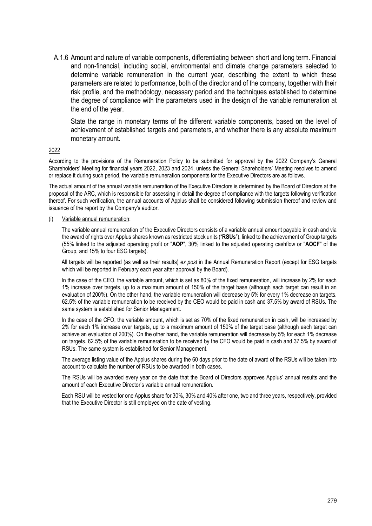A.1.6 Amount and nature of variable components, differentiating between short and long term. Financial and non-financial, including social, environmental and climate change parameters selected to determine variable remuneration in the current year, describing the extent to which these parameters are related to performance, both of the director and of the company, together with their risk profile, and the methodology, necessary period and the techniques established to determine the degree of compliance with the parameters used in the design of the variable remuneration at the end of the year.

State the range in monetary terms of the different variable components, based on the level of achievement of established targets and parameters, and whether there is any absolute maximum monetary amount.

### 2022

According to the provisions of the Remuneration Policy to be submitted for approval by the 2022 Company's General Shareholders' Meeting for financial years 2022, 2023 and 2024, unless the General Shareholders' Meeting resolves to amend or replace it during such period, the variable remuneration components for the Executive Directors are as follows.

The actual amount of the annual variable remuneration of the Executive Directors is determined by the Board of Directors at the proposal of the ARC, which is responsible for assessing in detail the degree of compliance with the targets following verification thereof. For such verification, the annual accounts of Applus shall be considered following submission thereof and review and issuance of the report by the Company's auditor.

### Variable annual remuneration:

The variable annual remuneration of the Executive Directors consists of a variable annual amount payable in cash and via the award of rights over Applus shares known as restricted stock units ("**RSUs**"), linked to the achievement of Group targets (55% linked to the adjusted operating profit or "**AOP**", 30% linked to the adjusted operating cashflow or "**AOCF**" of the Group, and 15% to four ESG targets).

All targets will be reported (as well as their results) *ex post* in the Annual Remuneration Report (except for ESG targets which will be reported in February each year after approval by the Board).

In the case of the CEO, the variable amount, which is set as 80% of the fixed remuneration, will increase by 2% for each 1% increase over targets, up to a maximum amount of 150% of the target base (although each target can result in an evaluation of 200%). On the other hand, the variable remuneration will decrease by 5% for every 1% decrease on targets. 62.5% of the variable remuneration to be received by the CEO would be paid in cash and 37.5% by award of RSUs. The same system is established for Senior Management.

In the case of the CFO, the variable amount, which is set as 70% of the fixed remuneration in cash, will be increased by 2% for each 1% increase over targets, up to a maximum amount of 150% of the target base (although each target can achieve an evaluation of 200%). On the other hand, the variable remuneration will decrease by 5% for each 1% decrease on targets. 62.5% of the variable remuneration to be received by the CFO would be paid in cash and 37.5% by award of RSUs. The same system is established for Senior Management.

The average listing value of the Applus shares during the 60 days prior to the date of award of the RSUs will be taken into account to calculate the number of RSUs to be awarded in both cases.

The RSUs will be awarded every year on the date that the Board of Directors approves Applus' annual results and the amount of each Executive Director's variable annual remuneration.

Each RSU will be vested for one Applus share for 30%, 30% and 40% after one, two and three years, respectively, provided that the Executive Director is still employed on the date of vesting.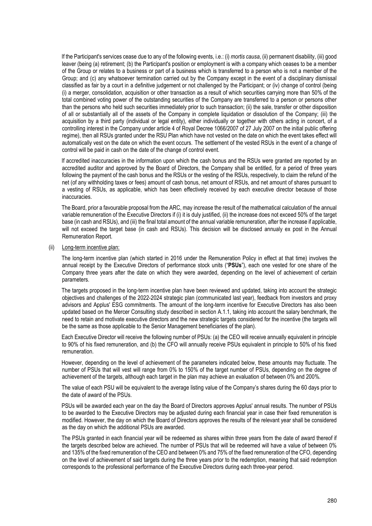If the Participant's services cease due to any of the following events, i.e.: (i) *mortis causa*, (ii) permanent disability, (iii) good leaver (being (a) retirement; (b) the Participant's position or employment is with a company which ceases to be a member of the Group or relates to a business or part of a business which is transferred to a person who is not a member of the Group; and (c) any whatsoever termination carried out by the Company except in the event of a disciplinary dismissal classified as fair by a court in a definitive judgement or not challenged by the Participant; or (iv) change of control (being (i) a merger, consolidation, acquisition or other transaction as a result of which securities carrying more than 50% of the total combined voting power of the outstanding securities of the Company are transferred to a person or persons other than the persons who held such securities immediately prior to such transaction; (ii) the sale, transfer or other disposition of all or substantially all of the assets of the Company in complete liquidation or dissolution of the Company; (iii) the acquisition by a third party (individual or legal entity), either individually or together with others acting in concert, of a controlling interest in the Company under article 4 of Royal Decree 1066/2007 of 27 July 2007 on the initial public offering regime), then all RSUs granted under the RSU Plan which have not vested on the date on which the event takes effect will automatically vest on the date on which the event occurs. The settlement of the vested RSUs in the event of a change of control will be paid in cash on the date of the change of control event.

If accredited inaccuracies in the information upon which the cash bonus and the RSUs were granted are reported by an accredited auditor and approved by the Board of Directors, the Company shall be entitled, for a period of three years following the payment of the cash bonus and the RSUs or the vesting of the RSUs, respectively, to claim the refund of the net (of any withholding taxes or fees) amount of cash bonus, net amount of RSUs, and net amount of shares pursuant to a vesting of RSUs, as applicable, which has been effectively received by each executive director because of those inaccuracies.

The Board, prior a favourable proposal from the ARC, may increase the result of the mathematical calculation of the annual variable remuneration of the Executive Directors if (i) it is duly justified, (ii) the increase does not exceed 50% of the target base (in cash and RSUs), and (iii) the final total amount of the annual variable remuneration, after the increase if applicable, will not exceed the target base (in cash and RSUs). This decision will be disclosed annualy ex post in the Annual Remuneration Report.

### (ii) Long-term incentive plan:

The long-term incentive plan (which started in 2016 under the Remuneration Policy in effect at that time) involves the annual receipt by the Executive Directors of performance stock units ("**PSUs**"), each one vested for one share of the Company three years after the date on which they were awarded, depending on the level of achievement of certain parameters.

The targets proposed in the long-term incentive plan have been reviewed and updated, taking into account the strategic objectives and challenges of the 2022-2024 strategic plan (communicated last year), feedback from investors and proxy advisors and Applus' ESG commitments. The amount of the long-term incentive for Executive Directors has also been updated based on the Mercer Consulting study described in section A.1.1, taking into account the salary benchmark, the need to retain and motivate executive directors and the new strategic targets considered for the incentive (the targets will be the same as those applicable to the Senior Management beneficiaries of the plan).

Each Executive Director will receive the following number of PSUs: (a) the CEO will receive annually equivalent in principle to 90% of his fixed remuneration, and (b) the CFO will annually receive PSUs equivalent in principle to 50% of his fixed remuneration.

However, depending on the level of achievement of the parameters indicated below, these amounts may fluctuate. The number of PSUs that will vest will range from 0% to 150% of the target number of PSUs, depending on the degree of achievement of the targets, although each target in the plan may achieve an evaluation of between 0% and 200%.

The value of each PSU will be equivalent to the average listing value of the Company's shares during the 60 days prior to the date of award of the PSUs.

PSUs will be awarded each year on the day the Board of Directors approves Applus' annual results. The number of PSUs to be awarded to the Executive Directors may be adjusted during each financial year in case their fixed remuneration is modified. However, the day on which the Board of Directors approves the results of the relevant year shall be considered as the day on which the additional PSUs are awarded.

The PSUs granted in each financial year will be redeemed as shares within three years from the date of award thereof if the targets described below are achieved. The number of PSUs that will be redeemed will have a value of between 0% and 135% of the fixed remuneration of the CEO and between 0% and 75% of the fixed remuneration of the CFO, depending on the level of achievement of said targets during the three years prior to the redemption, meaning that said redemption corresponds to the professional performance of the Executive Directors during each three-year period.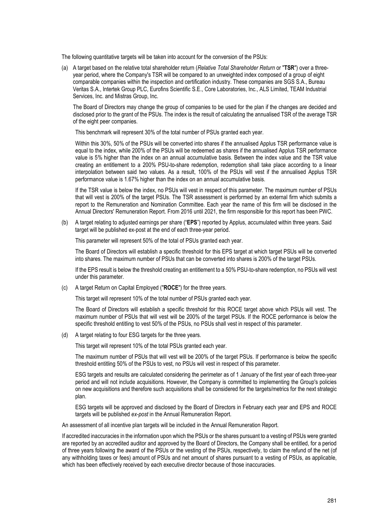The following quantitative targets will be taken into account for the conversion of the PSUs:

(a) A target based on the relative total shareholder return (*Relative Total Shareholder Return* or "**TSR**") over a threeyear period, where the Company's TSR will be compared to an unweighted index composed of a group of eight comparable companies within the inspection and certification industry. These companies are SGS S.A., Bureau Veritas S.A., Intertek Group PLC, Eurofins Scientific S.E., Core Laboratories, Inc., ALS Limited, TEAM Industrial Services, Inc. and Mistras Group, Inc.

The Board of Directors may change the group of companies to be used for the plan if the changes are decided and disclosed prior to the grant of the PSUs. The index is the result of calculating the annualised TSR of the average TSR of the eight peer companies.

This benchmark will represent 30% of the total number of PSUs granted each year.

Within this 30%, 50% of the PSUs will be converted into shares if the annualised Applus TSR performance value is equal to the index, while 200% of the PSUs will be redeemed as shares if the annualised Applus TSR performance value is 5% higher than the index on an annual accumulative basis. Between the index value and the TSR value creating an entitlement to a 200% PSU-to-share redemption, redemption shall take place according to a linear interpolation between said two values. As a result, 100% of the PSUs will vest if the annualised Applus TSR performance value is 1.67% higher than the index on an annual accumulative basis.

If the TSR value is below the index, no PSUs will vest in respect of this parameter. The maximum number of PSUs that will vest is 200% of the target PSUs. The TSR assessment is performed by an external firm which submits a report to the Remuneration and Nomination Committee. Each year the name of this firm will be disclosed in the Annual Directors' Remuneration Report. From 2016 until 2021, the firm responsible for this report has been PWC.

(b) A target relating to adjusted earnings per share ("**EPS**") reported by Applus, accumulated within three years. Said target will be published ex-post at the end of each three-year period.

This parameter will represent 50% of the total of PSUs granted each year.

The Board of Directors will establish a specific threshold for this EPS target at which target PSUs will be converted into shares. The maximum number of PSUs that can be converted into shares is 200% of the target PSUs.

If the EPS result is below the threshold creating an entitlement to a 50% PSU-to-share redemption, no PSUs will vest under this parameter.

(c) A target Return on Capital Employed ("**ROCE**") for the three years.

This target will represent 10% of the total number of PSUs granted each year.

The Board of Directors will establish a specific threshold for this ROCE target above which PSUs will vest. The maximum number of PSUs that will vest will be 200% of the target PSUs. If the ROCE performance is below the specific threshold entitling to vest 50% of the PSUs, no PSUs shall vest in respect of this parameter.

(d) A target relating to four ESG targets for the three years.

This target will represent 10% of the total PSUs granted each year.

The maximum number of PSUs that will vest will be 200% of the target PSUs. If performance is below the specific threshold entitling 50% of the PSUs to vest, no PSUs will vest in respect of this parameter.

ESG targets and results are calculated considering the perimeter as of 1 January of the first year of each three-year period and will not include acquisitions. However, the Company is committed to implementing the Group's policies on new acquisitions and therefore such acquisitions shall be considered for the targets/metrics for the next strategic plan.

ESG targets will be approved and disclosed by the Board of Directors in February each year and EPS and ROCE targets will be published *ex-post* in the Annual Remuneration Report.

An assessment of all incentive plan targets will be included in the Annual Remuneration Report.

 If accredited inaccuracies in the information upon which the PSUs or the shares pursuant to a vesting of PSUs were granted are reported by an accredited auditor and approved by the Board of Directors, the Company shall be entitled, for a period of three years following the award of the PSUs or the vesting of the PSUs, respectively, to claim the refund of the net (of any withholding taxes or fees) amount of PSUs and net amount of shares pursuant to a vesting of PSUs, as applicable, which has been effectively received by each executive director because of those inaccuracies.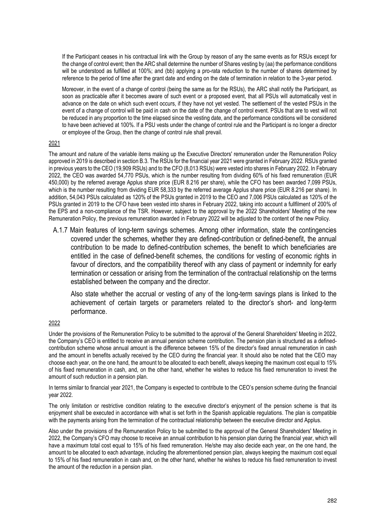If the Participant ceases in his contractual link with the Group by reason of any the same events as for RSUs except for the change of control event; then the ARC shall determine the number of Shares vesting by (aa) the performance conditions will be understood as fulfilled at 100%; and (bb) applying a pro-rata reduction to the number of shares determined by reference to the period of time after the grant date and ending on the date of termination in relation to the 3-year period.

Moreover, in the event of a change of control (being the same as for the RSUs), the ARC shall notify the Participant, as soon as practicable after it becomes aware of such event or a proposed event, that all PSUs will automatically vest in advance on the date on which such event occurs, if they have not yet vested. The settlement of the vested PSUs in the event of a change of control will be paid in cash on the date of the change of control event. PSUs that are to vest will not be reduced in any proportion to the time elapsed since the vesting date, and the performance conditions will be considered to have been achieved at 100%. If a PSU vests under the change of control rule and the Participant is no longer a director or employee of the Group, then the change of control rule shall prevail.

### 2021

The amount and nature of the variable items making up the Executive Directors' remuneration under the Remuneration Policy approved in 2019 is described in section B.3. The RSUs for the financial year 2021 were granted in February 2022. RSUs granted in previous years to the CEO (19,909 RSUs) and to the CFO (8,013 RSUs) were vested into shares in February 2022. In February 2022, the CEO was awarded 54,770 PSUs, which is the number resulting from dividing 60% of his fixed remuneration (EUR 450,000) by the referred average Applus share price (EUR 8.216 per share), while the CFO has been awarded 7,099 PSUs, which is the number resulting from dividing EUR 58,333 by the referred average Applus share price (EUR 8.216 per share). In addition, 54,043 PSUs calculated as 120% of the PSUs granted in 2019 to the CEO and 7,006 PSUs calculated as 120% of the PSUs granted in 2019 to the CFO have been vested into shares in February 2022, taking into account a fullfilment of 200% of the EPS and a non-compliance of the TSR. However, subject to the approval by the 2022 Shareholders' Meeting of the new Remuneration Policy, the previous remuneration awarded in February 2022 will be adjusted to the content of the new Policy.

A.1.7 Main features of long-term savings schemes. Among other information, state the contingencies covered under the schemes, whether they are defined-contribution or defined-benefit, the annual contribution to be made to defined-contribution schemes, the benefit to which beneficiaries are entitled in the case of defined-benefit schemes, the conditions for vesting of economic rights in favour of directors, and the compatibility thereof with any class of payment or indemnity for early termination or cessation or arising from the termination of the contractual relationship on the terms established between the company and the director.

Also state whether the accrual or vesting of any of the long-term savings plans is linked to the achievement of certain targets or parameters related to the director's short- and long-term performance.

### 2022

Under the provisions of the Remuneration Policy to be submitted to the approval of the General Shareholders' Meeting in 2022, the Company's CEO is entitled to receive an annual pension scheme contribution. The pension plan is structured as a definedcontribution scheme whose annual amount is the difference between 15% of the director's fixed annual remuneration in cash and the amount in benefits actually received by the CEO during the financial year. It should also be noted that the CEO may choose each year, on the one hand, the amount to be allocated to each benefit, always keeping the maximum cost equal to 15% of his fixed remuneration in cash, and, on the other hand, whether he wishes to reduce his fixed remuneration to invest the amount of such reduction in a pension plan.

In terms similar to financial year 2021, the Company is expected to contribute to the CEO's pension scheme during the financial year 2022.

The only limitation or restrictive condition relating to the executive director's enjoyment of the pension scheme is that its enjoyment shall be executed in accordance with what is set forth in the Spanish applicable regulations. The plan is compatible with the payments arising from the termination of the contractual relationship between the executive director and Applus.

Also under the provisions of the Remuneration Policy to be submitted to the approval of the General Shareholders' Meeting in 2022, the Company's CFO may choose to receive an annual contribution to his pension plan during the financial year, which will have a maximum total cost equal to 15% of his fixed remuneration. He/she may also decide each year, on the one hand, the amount to be allocated to each advantage, including the aforementioned pension plan, always keeping the maximum cost equal to 15% of his fixed remuneration in cash and, on the other hand, whether he wishes to reduce his fixed remuneration to invest the amount of the reduction in a pension plan.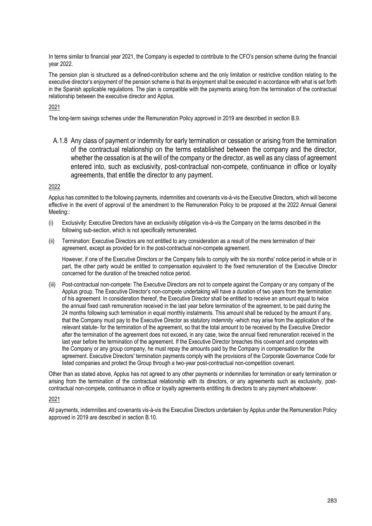In terms similar to financial year 2021, the Company is expected to contribute to the CFO's pension scheme during the financial year 2022.

The pension plan is structured as a defined-contribution scheme and the only limitation or restrictive condition relating to the executive director's enjoyment of the pension scheme is that its enjoyment shall be executed in accordance with what is set forth in the Spanish applicable regulations. The plan is compatible with the payments arising from the termination of the contractual relationship between the executive director and Applus.

### 2021

The long-term savings schemes under the Remuneration Policy approved in 2019 are described in section B.9.

A.1.8 Any class of payment or indemnity for early termination or cessation or arising from the termination of the contractual relationship on the terms established between the company and the director, whether the cessation is at the will of the company or the director, as well as any class of agreement entered into, such as exclusivity, post-contractual non-compete, continuance in office or loyalty agreements, that entitle the director to any payment.

### 2022

Applus has committed to the following payments, indemnities and covenants vis-à-vis the Executive Directors, which will become effective in the event of approval of the amendment to the Remuneration Policy to be proposed at the 2022 Annual General Meeting::

- (i) Exclusivity: Executive Directors have an exclusivity obligation vis-à-vis the Company on the terms described in the following sub-section, which is not specifically remunerated.
- (ii) Termination: Executive Directors are not entitled to any consideration as a result of the mere termination of their agreement, except as provided for in the post-contractual non-compete agreement.

However, if one of the Executive Directors or the Company fails to comply with the six months' notice period in whole or in part, the other party would be entitled to compensation equivalent to the fixed remuneration of the Executive Director concerned for the duration of the breached notice period.

(iii) Post-contractual non-compete: The Executive Directors are not to compete against the Company or any company of the Applus group. The Executive Director's non-compete undertaking will have a duration of two years from the termination of his agreement. In consideration thereof, the Executive Director shall be entitled to receive an amount equal to twice the annual fixed cash remuneration received in the last year before termination of the agreement, to be paid during the 24 months following such termination in equal monthly instalments. This amount shall be reduced by the amount if any, that the Company must pay to the Executive Director as statutory indemnity -which may arise from the application of the relevant statute- for the termination of the agreement, so that the total amount to be received by the Executive Director after the termination of the agreement does not exceed, in any case, twice the annual fixed remuneration received in the last year before the termination of the agreement. If the Executive Director breaches this covenant and competes with the Company or any group company, he must repay the amounts paid by the Company in compensation for the agreement. Executive Directors' termination payments comply with the provisions of the Corporate Governance Code for listed companies and protect the Group through a two-year post-contractual non-competition covenant.

Other than as stated above, Applus has not agreed to any other payments or indemnities for termination or early termination or arising from the termination of the contractual relationship with its directors, or any agreements such as exclusivity, postcontractual non-compete, continuance in office or loyalty agreements entitling its directors to any payment whatsoever.

### 2021

All payments, indemnities and covenants vis-à-vis the Executive Directors undertaken by Applus under the Remuneration Policy approved in 2019 are described in section B.10.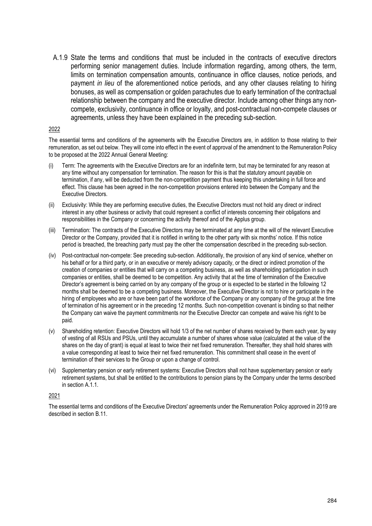A.1.9 State the terms and conditions that must be included in the contracts of executive directors performing senior management duties. Include information regarding, among others, the term, limits on termination compensation amounts, continuance in office clauses, notice periods, and payment *in lieu* of the aforementioned notice periods, and any other clauses relating to hiring bonuses, as well as compensation or golden parachutes due to early termination of the contractual relationship between the company and the executive director. Include among other things any noncompete, exclusivity, continuance in office or loyalty, and post-contractual non-compete clauses or agreements, unless they have been explained in the preceding sub-section.

### 2022

The essential terms and conditions of the agreements with the Executive Directors are, in addition to those relating to their remuneration, as set out below. They will come into effect in the event of approval of the amendment to the Remuneration Policy to be proposed at the 2022 Annual General Meeting:

- (i) Term: The agreements with the Executive Directors are for an indefinite term, but may be terminated for any reason at any time without any compensation for termination. The reason for this is that the statutory amount payable on termination, if any, will be deducted from the non-competition payment thus keeping this undertaking in full force and effect. This clause has been agreed in the non-competition provisions entered into between the Company and the Executive Directors.
- (ii) Exclusivity: While they are performing executive duties, the Executive Directors must not hold any direct or indirect interest in any other business or activity that could represent a conflict of interests concerning their obligations and responsibilities in the Company or concerning the activity thereof and of the Applus group.
- (iii) Termination: The contracts of the Executive Directors may be terminated at any time at the will of the relevant Executive Director or the Company, provided that it is notified in writing to the other party with six months' notice. If this notice period is breached, the breaching party must pay the other the compensation described in the preceding sub-section.
- (iv) Post-contractual non-compete: See preceding sub-section. Additionally, the provision of any kind of service, whether on his behalf or for a third party, or in an executive or merely advisory capacity, or the direct or indirect promotion of the creation of companies or entities that will carry on a competing business, as well as shareholding participation in such companies or entities, shall be deemed to be competition. Any activity that at the time of termination of the Executive Director's agreement is being carried on by any company of the group or is expected to be started in the following 12 months shall be deemed to be a competing business. Moreover, the Executive Director is not to hire or participate in the hiring of employees who are or have been part of the workforce of the Company or any company of the group at the time of termination of his agreement or in the preceding 12 months. Such non-competition covenant is binding so that neither the Company can waive the payment commitments nor the Executive Director can compete and waive his right to be paid.
- (v) Shareholding retention: Executive Directors will hold 1/3 of the net number of shares received by them each year, by way of vesting of all RSUs and PSUs, until they accumulate a number of shares whose value (calculated at the value of the shares on the day of grant) is equal at least to twice their net fixed remuneration. Thereafter, they shall hold shares with a value corresponding at least to twice their net fixed remuneration. This commitment shall cease in the event of termination of their services to the Group or upon a change of control.
- (vi) Supplementary pension or early retirement systems: Executive Directors shall not have supplementary pension or early retirement systems, but shall be entitled to the contributions to pension plans by the Company under the terms described in section A.1.1.

### 2021

The essential terms and conditions of the Executive Directors' agreements under the Remuneration Policy approved in 2019 are described in section B.11.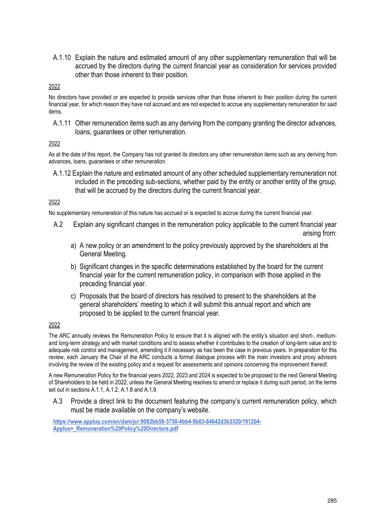A.1.10 Explain the nature and estimated amount of any other supplementary remuneration that will be accrued by the directors during the current financial year as consideration for services provided other than those inherent to their position.

### 2022

No directors have provided or are expected to provide services other than those inherent to their position during the current financial year, for which reason they have not accrued and are not expected to accrue any supplementary remuneration for said items.

A.1.11 Other remuneration items such as any deriving from the company granting the director advances, loans, guarantees or other remuneration.

### 2022

As at the date of this report, the Company has not granted its directors any other remuneration items such as any deriving from advances, loans, guarantees or other remuneration.

A.1.12 Explain the nature and estimated amount of any other scheduled supplementary remuneration not included in the preceding sub-sections, whether paid by the entity or another entity of the group, that will be accrued by the directors during the current financial year.

### 2022

No supplementary remuneration of this nature has accrued or is expected to accrue during the current financial year.

- A.2 Explain any significant changes in the remuneration policy applicable to the current financial year arising from:
	- a) A new policy or an amendment to the policy previously approved by the shareholders at the General Meeting.
	- b) Significant changes in the specific determinations established by the board for the current financial year for the current remuneration policy, in comparison with those applied in the preceding financial year.
	- c) Proposals that the board of directors has resolved to present to the shareholders at the general shareholders' meeting to which it will submit this annual report and which are proposed to be applied to the current financial year.

### 2022

The ARC annually reviews the Remuneration Policy to ensure that it is aligned with the entity's situation and short-, mediumand long-term strategy and with market conditions and to assess whether it contributes to the creation of long-term value and to adequate risk control and management, amending it if necessary as has been the case in previous years. In preparation for this review, each January the Chair of the ARC conducts a formal dialogue process with the main investors and proxy advisors involving the review of the existing policy and a request for assessments and opinions concerning the improvement thereof.

A new Remuneration Policy for the financial years 2022, 2023 and 2024 is expected to be proposed to the next General Meeting of Shareholders to be held in 2022, unless the General Meeting resolves to amend or replace it during such period, on the terms set out in sections A.1.1, A.1.2, A.1.8 and A.1.9.

A.3 Provide a direct link to the document featuring the company's current remuneration policy, which must be made available on the company's website.

**https://www.applus.com/en/dam/jcr:9082bb58-3750-4bb4-9b03-84642d3b3320/191204- Applus+\_Remuneration%20Policy%20Directors.pdf**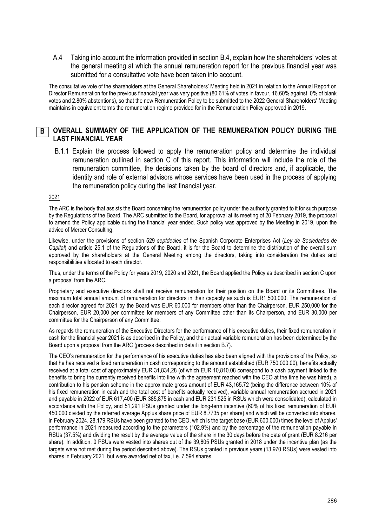A.4 Taking into account the information provided in section B.4, explain how the shareholders' votes at the general meeting at which the annual remuneration report for the previous financial year was submitted for a consultative vote have been taken into account.

The consultative vote of the shareholders at the General Shareholders' Meeting held in 2021 in relation to the Annual Report on Director Remuneration for the previous financial year was very positive (80.61% of votes in favour, 16.60% against, 0% of blank votes and 2.80% abstentions), so that the new Remuneration Policy to be submitted to the 2022 General Shareholders' Meeting maintains in equivalent terms the remuneration regime provided for in the Remuneration Policy approved in 2019.

#### **OVERALL SUMMARY OF THE APPLICATION OF THE REMUNERATION POLICY DURING THE LAST FINANCIAL YEAR B**

B.1.1 Explain the process followed to apply the remuneration policy and determine the individual remuneration outlined in section C of this report. This information will include the role of the remuneration committee, the decisions taken by the board of directors and, if applicable, the identity and role of external advisors whose services have been used in the process of applying the remuneration policy during the last financial year.

### 2021

The ARC is the body that assists the Board concerning the remuneration policy under the authority granted to it for such purpose by the Regulations of the Board. The ARC submitted to the Board, for approval at its meeting of 20 February 2019, the proposal to amend the Policy applicable during the financial year ended. Such policy was approved by the Meeting in 2019, upon the advice of Mercer Consulting.

Likewise, under the provisions of section 529 *septdecies* of the Spanish Corporate Enterprises Act (*Ley de Sociedades de Capital*) and article 25.1 of the Regulations of the Board, it is for the Board to determine the distribution of the overall sum approved by the shareholders at the General Meeting among the directors, taking into consideration the duties and responsibilities allocated to each director.

Thus, under the terms of the Policy for years 2019, 2020 and 2021, the Board applied the Policy as described in section C upon a proposal from the ARC.

Proprietary and executive directors shall not receive remuneration for their position on the Board or its Committees. The maximum total annual amount of remuneration for directors in their capacity as such is EUR1,500,000. The remuneration of each director agreed for 2021 by the Board was EUR 60,000 for members other than the Chairperson, EUR 250,000 for the Chairperson, EUR 20,000 per committee for members of any Committee other than its Chairperson, and EUR 30,000 per committee for the Chairperson of any Committee.

As regards the remuneration of the Executive Directors for the performance of his executive duties, their fixed remuneration in cash for the financial year 2021 is as described in the Policy, and their actual variable remuneration has been determined by the Board upon a proposal from the ARC (process described in detail in section B.7).

The CEO's remuneration for the performance of his executive duties has also been aligned with the provisions of the Policy, so that he has received a fixed remuneration in cash corresponding to the amount established (EUR 750,000.00), benefits actually received at a total cost of approximately EUR 31,834,28 (of which EUR 10,810.08 correspond to a cash payment linked to the benefits to bring the currently received benefits into line with the agreement reached with the CEO at the time he was hired), a contribution to his pension scheme in the approximate gross amount of EUR 43,165.72 (being the difference between 10% of his fixed remuneration in cash and the total cost of benefits actually received), variable annual remuneration accrued in 2021 and payable in 2022 of EUR 617,400 (EUR 385,875 in cash and EUR 231,525 in RSUs which were consolidated), calculated in accordance with the Policy, and 51,291 PSUs granted under the long-term incentive (60% of his fixed remuneration of EUR 450,000 divided by the referred average Applus share price of EUR 8.7735 per share) and which will be converted into shares, in February 2024. 28,179 RSUs have been granted to the CEO, which is the target base (EUR 600,000) times the level of Applus' performance in 2021 measured according to the parameters (102.9%) and by the percentage of the remuneration payable in RSUs (37.5%) and dividing the result by the average value of the share in the 30 days before the date of grant (EUR 8.216 per share). In addition, 0 PSUs were vested into shares out of the 39,805 PSUs granted in 2018 under the incentive plan (as the targets were not met during the period described above). The RSUs granted in previous years (13,970 RSUs) were vested into shares in February 2021, but were awarded net of tax, i.e. 7,594 shares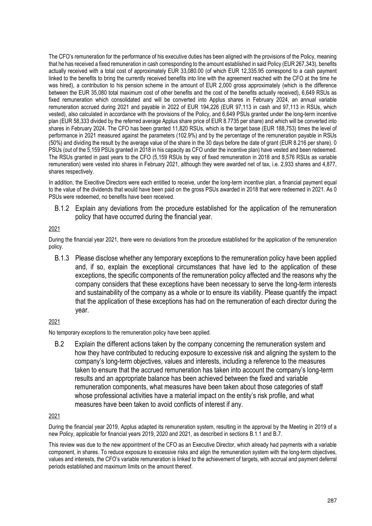The CFO's remuneration for the performance of his executive duties has been aligned with the provisions of the Policy, meaning that he has received a fixed remuneration in cash corresponding to the amount established in said Policy (EUR 267,343), benefits actually received with a total cost of approximately EUR 33,080.00 (of which EUR 12,335.95 correspond to a cash payment linked to the benefits to bring the currently received benefits into line with the agreement reached with the CFO at the time he was hired), a contribution to his pension scheme in the amount of EUR 2,000 gross approximately (which is the difference between the EUR 35,080 total maximum cost of other benefits and the cost of the benefits actually received), 6,649 RSUs as fixed remuneration which consolidated and will be converted into Applus shares in February 2024, an annual variable remuneration accrued during 2021 and payable in 2022 of EUR 194,226 (EUR 97,113 in cash and 97,113 in RSUs, which vested), also calculated in accordance with the provisions of the Policy, and 6,649 PSUs granted under the long-term incentive plan (EUR 58,333 divided by the referred average Applus share price of EUR 8.7735 per share) and which will be converted into shares in February 2024. The CFO has been granted 11,820 RSUs, which is the target base (EUR 188,753) times the level of performance in 2021 measured against the parameters (102.9%) and by the percentage of the remuneration payable in RSUs (50%) and dividing the result by the average value of the share in the 30 days before the date of grant (EUR 8.216 per share). 0 PSUs (out of the 5,159 PSUs granted in 2018 in his capacity as CFO under the incentive plan) have vested and been redeemed. The RSUs granted in past years to the CFO (5,159 RSUs by way of fixed remuneration in 2018 and 8,576 RSUs as variable remuneration) were vested into shares in February 2021, although they were awarded net of tax, i.e. 2,933 shares and 4,877, shares respectively.

In addition, the Execitive Directors were each entitled to receive, under the long-term incentive plan, a financial payment equal to the value of the dividends that would have been paid on the gross PSUs awarded in 2018 that were redeemed in 2021. As 0 PSUs were redeemed, no benefits have been received.

B.1.2 Explain any deviations from the procedure established for the application of the remuneration policy that have occurred during the financial year.

## 2021

During the financial year 2021, there were no deviations from the procedure established for the application of the remuneration policy.

B.1.3 Please disclose whether any temporary exceptions to the remuneration policy have been applied and, if so, explain the exceptional circumstances that have led to the application of these exceptions, the specific components of the remuneration policy affected and the reasons why the company considers that these exceptions have been necessary to serve the long-term interests and sustainability of the company as a whole or to ensure its viability. Please quantify the impact that the application of these exceptions has had on the remuneration of each director during the year.

## 2021

No temporary exceptions to the remuneration policy have been applied.

B.2 Explain the different actions taken by the company concerning the remuneration system and how they have contributed to reducing exposure to excessive risk and aligning the system to the company's long-term objectives, values and interests, including a reference to the measures taken to ensure that the accrued remuneration has taken into account the company's long-term results and an appropriate balance has been achieved between the fixed and variable remuneration components, what measures have been taken about those categories of staff whose professional activities have a material impact on the entity's risk profile, and what measures have been taken to avoid conflicts of interest if any.

## 2021

During the financial year 2019, Applus adapted its remuneration system, resulting in the approval by the Meeting in 2019 of a new Policy, applicable for financial years 2019, 2020 and 2021, as described in sections B.1.1 and B.7.

This review was due to the new appointment of the CFO as an Executive Director, which already had payments with a variable component, in shares. To reduce exposure to excessive risks and align the remuneration system with the long-term objectives, values and interests, the CFO's variable remuneration is linked to the achievement of targets, with accrual and payment deferral periods established and maximum limits on the amount thereof.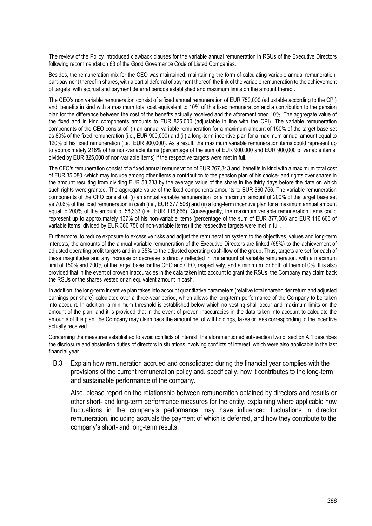The review of the Policy introduced clawback clauses for the variable annual remuneration in RSUs of the Executive Directors following recommendation 63 of the Good Governance Code of Listed Companies.

Besides, the remuneration mix for the CEO was maintained, maintaining the form of calculating variable annual remuneration, part-payment thereof in shares, with a partial deferral of payment thereof, the link of the variable remuneration to the achievement of targets, with accrual and payment deferral periods established and maximum limits on the amount thereof.

The CEO's non variable remuneration consist of a fixed annual remuneration of EUR 750,000 (adjustable according to the CPI) and, benefits in kind with a maximum total cost equivalent to 10% of this fixed remuneration and a contribution to the pension plan for the difference between the cost of the benefits actually received and the aforementioned 10%. The aggregate value of the fixed and in kind components amounts to EUR 825,000 (adjustable in line with the CPI). The variable remuneration components of the CEO consist of: (i) an annual variable remuneration for a maximum amount of 150% of the target base set as 80% of the fixed remuneration (i.e., EUR 900,000) and (ii) a long-term incentive plan for a maximum annual amount equal to 120% of his fixed remuneration (i.e., EUR 900,000). As a result, the maximum variable remuneration items could represent up to approximately 218% of his non-variable items (percentage of the sum of EUR 900,000 and EUR 900,000 of variable items, divided by EUR 825,000 of non-variable items) if the respective targets were met in full.

The CFO's remuneration consist of a fixed annual remuneration of EUR 267,343 and benefits in kind with a maximum total cost of EUR 35,080 -which may include among other items a contribution to the pension plan of his choice- and rights over shares in the amount resulting from dividing EUR 58,333 by the average value of the share in the thirty days before the date on which such rights were granted. The aggregate value of the fixed components amounts to EUR 360,756. The variable remuneration components of the CFO consist of: (i) an annual variable remuneration for a maximum amount of 200% of the target base set as 70.6% of the fixed remuneration in cash (i.e., EUR 377,506) and (ii) a long-term incentive plan for a maximum annual amount equal to 200% of the amount of 58,333 (i.e., EUR 116,666). Consequently, the maximum variable remuneration items could represent up to approximately 137% of his non-variable items (percentage of the sum of EUR 377,506 and EUR 116,666 of variable items, divided by EUR 360,756 of non-variable items) if the respective targets were met in full.

Furthermore, to reduce exposure to excessive risks and adjust the remuneration system to the objectives, values and long-term interests, the amounts of the annual variable remuneration of the Executive Directors are linked (65%) to the achievement of adjusted operating profit targets and in a 35% to the adjusted operating cash-flow of the group. Thus, targets are set for each of these magnitudes and any increase or decrease is directly reflected in the amount of variable remuneration, with a maximum limit of 150% and 200% of the target base for the CEO and CFO, respectively, and a minimum for both of them of 0%. It is also provided that in the event of proven inaccuracies in the data taken into account to grant the RSUs, the Company may claim back the RSUs or the shares vested or an equivalent amount in cash.

In addition, the long-term incentive plan takes into account quantitative parameters (relative total shareholder return and adjusted earnings per share) calculated over a three-year period, which allows the long-term performance of the Company to be taken into account. In addition, a minimum threshold is established below which no vesting shall occur and maximum limits on the amount of the plan, and it is provided that in the event of proven inaccuracies in the data taken into account to calculate the amounts of this plan, the Company may claim back the amount net of withholdings, taxes or fees corresponding to the incentive actually received.

Concerning the measures established to avoid conflicts of interest, the aforementioned sub-section two of section A.1 describes the disclosure and abstention duties of directors in situations involving conflicts of interest, which were also applicable in the last financial year.

B.3 Explain how remuneration accrued and consolidated during the financial year complies with the provisions of the current remuneration policy and, specifically, how it contributes to the long-term and sustainable performance of the company.

Also, please report on the relationship between remuneration obtained by directors and results or other short- and long-term performance measures for the entity, explaining where applicable how fluctuations in the company's performance may have influenced fluctuations in director remuneration, including accruals the payment of which is deferred, and how they contribute to the company's short- and long-term results.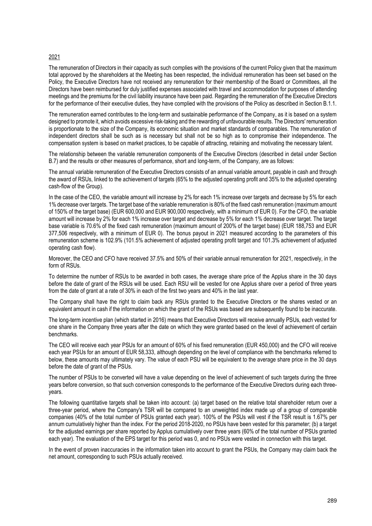### 2021

The remuneration of Directors in their capacity as such complies with the provisions of the current Policy given that the maximum total approved by the shareholders at the Meeting has been respected, the individual remuneration has been set based on the Policy, the Executive Directors have not received any remuneration for their membership of the Board or Committees, all the Directors have been reimbursed for duly justified expenses associated with travel and accommodation for purposes of attending meetings and the premiums for the civil liability insurance have been paid. Regarding the remuneration of the Executive Directors for the performance of their executive duties, they have complied with the provisions of the Policy as described in Section B.1.1.

The remuneration earned contributes to the long-term and sustainable performance of the Company, as it is based on a system designed to promote it, which avoids excessive risk-taking and the rewarding of unfavourable results. The Directors' remuneration is proportionate to the size of the Company, its economic situation and market standards of comparables. The remuneration of independent directors shall be such as is necessary but shall not be so high as to compromise their independence. The compensation system is based on market practices, to be capable of attracting, retaining and motivating the necessary talent.

The relationship between the variable remuneration components of the Executive Directors (described in detail under Section B.7) and the results or other measures of performance, short and long-term, of the Company, are as follows:

The annual variable remuneration of the Executive Directors consists of an annual variable amount, payable in cash and through the award of RSUs, linked to the achievement of targets (65% to the adjusted operating profit and 35% to the adjusted operating cash-flow of the Group).

In the case of the CEO, the variable amount will increase by 2% for each 1% increase over targets and decrease by 5% for each 1% decrease over targets. The target base of the variable remuneration is 80% of the fixed cash remuneration (maximum amount of 150% of the target base) (EUR 600,000 and EUR 900,000 respectively, with a minimum of EUR 0). For the CFO, the variable amount will increase by 2% for each 1% increase over target and decrease by 5% for each 1% decrease over target. The target base variable is 70.6% of the fixed cash remuneration (maximum amount of 200% of the target base) (EUR 188,753 and EUR 377,506 respectively, with a minimum of EUR 0). The bonus payout in 2021 measured according to the parameters of this remuneration scheme is 102.9% (101.5% achievement of adjusted operating profit target and 101.3% achievement of adjusted operating cash flow).

Moreover, the CEO and CFO have received 37.5% and 50% of their variable annual remuneration for 2021, respectively, in the form of RSUs.

To determine the number of RSUs to be awarded in both cases, the average share price of the Applus share in the 30 days before the date of grant of the RSUs will be used. Each RSU will be vested for one Applus share over a period of three years from the date of grant at a rate of 30% in each of the first two years and 40% in the last year.

The Company shall have the right to claim back any RSUs granted to the Executive Directors or the shares vested or an equivalent amount in cash if the information on which the grant of the RSUs was based are subsequently found to be inaccurate.

The long-term incentive plan (which started in 2016) means that Executive Directors will receive annually PSUs, each vested for one share in the Company three years after the date on which they were granted based on the level of achievement of certain benchmarks.

The CEO will receive each year PSUs for an amount of 60% of his fixed remuneration (EUR 450,000) and the CFO will receive each year PSUs for an amount of EUR 58,333, although depending on the level of compliance with the benchmarks referred to below, these amounts may ultimately vary. The value of each PSU will be equivalent to the average share price in the 30 days before the date of grant of the PSUs.

The number of PSUs to be converted will have a value depending on the level of achievement of such targets during the three years before conversion, so that such conversion corresponds to the performance of the Executive Directors during each threeyears.

The following quantitative targets shall be taken into account: (a) target based on the relative total shareholder return over a three-year period, where the Company's TSR will be compared to an unweighted index made up of a group of comparable companies (40% of the total number of PSUs granted each year). 100% of the PSUs will vest if the TSR result is 1.67% per annum cumulatively higher than the index. For the period 2018-2020, no PSUs have been vested for this parameter; (b) a target for the adjusted earnings per share reported by Applus cumulatively over three years (60% of the total number of PSUs granted each year). The evaluation of the EPS target for this period was 0, and no PSUs were vested in connection with this target.

In the event of proven inaccuracies in the information taken into account to grant the PSUs, the Company may claim back the net amount, corresponding to such PSUs actually received.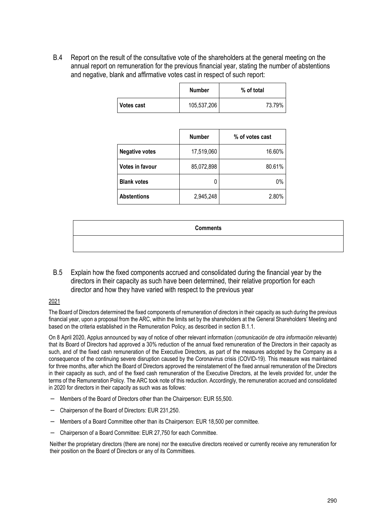B.4 Report on the result of the consultative vote of the shareholders at the general meeting on the annual report on remuneration for the previous financial year, stating the number of abstentions and negative, blank and affirmative votes cast in respect of such report:

|                   | <b>Number</b> | % of total |
|-------------------|---------------|------------|
| <b>Votes cast</b> | 105,537,206   | 73.79%     |

|                       | <b>Number</b> | % of votes cast |
|-----------------------|---------------|-----------------|
| <b>Negative votes</b> | 17,519,060    | 16.60%          |
| Votes in favour       | 85,072,898    | 80.61%          |
| <b>Blank votes</b>    | 0             | 0%              |
| <b>Abstentions</b>    | 2,945,248     | 2.80%           |

| <b>Comments</b> |  |
|-----------------|--|
|                 |  |

B.5 Explain how the fixed components accrued and consolidated during the financial year by the directors in their capacity as such have been determined, their relative proportion for each director and how they have varied with respect to the previous year

2021

The Board of Directors determined the fixed components of remuneration of directors in their capacity as such during the previous financial year, upon a proposal from the ARC, within the limits set by the shareholders at the General Shareholders' Meeting and based on the criteria established in the Remuneration Policy, as described in section B.1.1.

On 8 April 2020, Applus announced by way of notice of other relevant information (*comunicación de otra información relevante*) that its Board of Directors had approved a 30% reduction of the annual fixed remuneration of the Directors in their capacity as such, and of the fixed cash remuneration of the Executive Directors, as part of the measures adopted by the Company as a consequence of the continuing severe disruption caused by the Coronavirus crisis (COVID-19). This measure was maintained for three months, after which the Board of Directors approved the reinstatement of the fixed annual remuneration of the Directors in their capacity as such, and of the fixed cash remuneration of the Executive Directors, at the levels provided for, under the terms of the Remuneration Policy. The ARC took note of this reduction. Accordingly, the remuneration accrued and consolidated in 2020 for directors in their capacity as such was as follows:

- Members of the Board of Directors other than the Chairperson: EUR 55,500.
- − Chairperson of the Board of Directors: EUR 231,250.
- − Members of a Board Committee other than its Chairperson: EUR 18,500 per committee.
- − Chairperson of a Board Committee: EUR 27,750 for each Committee.

Neither the proprietary directors (there are none) nor the executive directors received or currently receive any remuneration for their position on the Board of Directors or any of its Committees.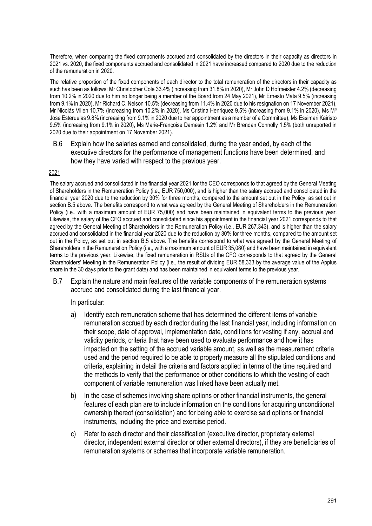Therefore, when comparing the fixed components accrued and consolidated by the directors in their capacity as directors in 2021 vs. 2020, the fixed components accrued and consolidated in 2021 have increased compared to 2020 due to the reduction of the remuneration in 2020.

The relative proportion of the fixed components of each director to the total remuneration of the directors in their capacity as such has been as follows: Mr Christopher Cole 33.4% (increasing from 31.8% in 2020), Mr John D Hofmeister 4.2% (decreasing from 10.2% in 2020 due to him no longer being a member of the Board from 24 May 2021), Mr Ernesto Mata 9.5% (increasing from 9.1% in 2020), Mr Richard C. Nelson 10.5% (decreasing from 11.4% in 2020 due to his resignation on 17 November 2021), Mr Nicolás Villen 10.7% (increasing from 10.2% in 2020), Ms Cristina Henriquez 9.5% (increasing from 9.1% in 2020), Ms Mª Jose Esteruelas 9.8% (increasing from 9.1% in 2020 due to her appointment as a member of a Committee), Ms Essimari Kairisto 9.5% (increasing from 9.1% in 2020), Ms Marie-Françoise Damesin 1.2% and Mr Brendan Connolly 1.5% (both unreported in 2020 due to their appointment on 17 November 2021).

B.6 Explain how the salaries earned and consolidated, during the year ended, by each of the executive directors for the performance of management functions have been determined, and how they have varied with respect to the previous year.

### 2021

The salary accrued and consolidated in the financial year 2021 for the CEO corresponds to that agreed by the General Meeting of Shareholders in the Remuneration Policy (i.e., EUR 750,000), and is higher than the salary accrued and consolidated in the financial year 2020 due to the reduction by 30% for three months, compared to the amount set out in the Policy, as set out in section B.5 above. The benefits correspond to what was agreed by the General Meeting of Shareholders in the Remuneration Policy (i.e., with a maximum amount of EUR 75,000) and have been maintained in equivalent terms to the previous year. Likewise, the salary of the CFO accrued and consolidated since his appointment in the financial year 2021 corresponds to that agreed by the General Meeting of Shareholders in the Remuneration Policy (i.e., EUR 267,343), and is higher than the salary accrued and consolidated in the financial year 2020 due to the reduction by 30% for three months, compared to the amount set out in the Policy, as set out in section B.5 above. The benefits correspond to what was agreed by the General Meeting of Shareholders in the Remuneration Policy (i.e., with a maximum amount of EUR 35,080) and have been maintained in equivalent terms to the previous year. Likewise, the fixed remuneration in RSUs of the CFO corresponds to that agreed by the General Shareholders' Meeting in the Remuneration Policy (i.e., the result of dividing EUR 58,333 by the average value of the Applus share in the 30 days prior to the grant date) and has been maintained in equivalent terms to the previous year.

B.7 Explain the nature and main features of the variable components of the remuneration systems accrued and consolidated during the last financial year.

In particular:

- a) Identify each remuneration scheme that has determined the different items of variable remuneration accrued by each director during the last financial year, including information on their scope, date of approval, implementation date, conditions for vesting if any, accrual and validity periods, criteria that have been used to evaluate performance and how it has impacted on the setting of the accrued variable amount, as well as the measurement criteria used and the period required to be able to properly measure all the stipulated conditions and criteria, explaining in detail the criteria and factors applied in terms of the time required and the methods to verify that the performance or other conditions to which the vesting of each component of variable remuneration was linked have been actually met.
- b) In the case of schemes involving share options or other financial instruments, the general features of each plan are to include information on the conditions for acquiring unconditional ownership thereof (consolidation) and for being able to exercise said options or financial instruments, including the price and exercise period.
- c) Refer to each director and their classification (executive director, proprietary external director, independent external director or other external directors), if they are beneficiaries of remuneration systems or schemes that incorporate variable remuneration.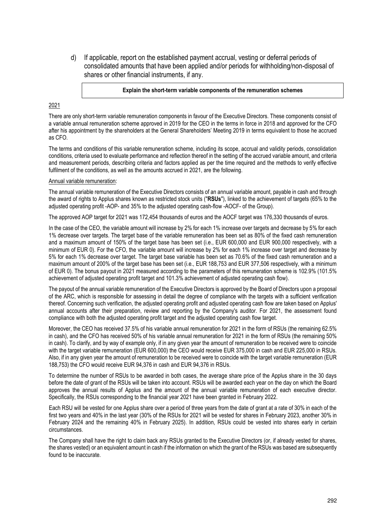d) If applicable, report on the established payment accrual, vesting or deferral periods of consolidated amounts that have been applied and/or periods for withholding/non-disposal of shares or other financial instruments, if any.

### **Explain the short-term variable components of the remuneration schemes**

### 2021

There are only short-term variable remuneration components in favour of the Executive Directors. These components consist of a variable annual remuneration scheme approved in 2019 for the CEO in the terms in force in 2018 and approved for the CFO after his appointment by the shareholders at the General Shareholders' Meeting 2019 in terms equivalent to those he accrued as CFO.

The terms and conditions of this variable remuneration scheme, including its scope, accrual and validity periods, consolidation conditions, criteria used to evaluate performance and reflection thereof in the setting of the accrued variable amount, and criteria and measurement periods, describing criteria and factors applied as per the time required and the methods to verify effective fulfilment of the conditions, as well as the amounts accrued in 2021, are the following.

### Annual variable remuneration:

The annual variable remuneration of the Executive Directors consists of an annual variable amount, payable in cash and through the award of rights to Applus shares known as restricted stock units ("**RSUs**"), linked to the achievement of targets (65% to the adjusted operating profit -AOP- and 35% to the adjusted operating cash-flow -AOCF- of the Group).

The approved AOP target for 2021 was 172,454 thousands of euros and the AOCF target was 176,330 thousands of euros.

In the case of the CEO, the variable amount will increase by 2% for each 1% increase over targets and decrease by 5% for each 1% decrease over targets. The target base of the variable remuneration has been set as 80% of the fixed cash remuneration and a maximum amount of 150% of the target base has been set (i.e., EUR 600,000 and EUR 900,000 respectively, with a minimum of EUR 0). For the CFO, the variable amount will increase by 2% for each 1% increase over target and decrease by 5% for each 1% decrease over target. The target base variable has been set as 70.6% of the fixed cash remuneration and a maximum amount of 200% of the target base has been set (i.e., EUR 188,753 and EUR 377,506 respectively, with a minimum of EUR 0). The bonus payout in 2021 measured according to the parameters of this remuneration scheme is 102.9% (101.5% achievement of adjusted operating profit target and 101.3% achievement of adjusted operating cash flow).

The payout of the annual variable remuneration of the Executive Directors is approved by the Board of Directors upon a proposal of the ARC, which is responsible for assessing in detail the degree of compliance with the targets with a sufficient verification thereof. Concerning such verification, the adjusted operating profit and adjusted operating cash flow are taken based on Applus' annual accounts after their preparation, review and reporting by the Company's auditor. For 2021, the assessment found compliance with both the adjusted operating profit target and the adjusted operating cash flow target.

Moreover, the CEO has received 37.5% of his variable annual remuneration for 2021 in the form of RSUs (the remaining 62.5% in cash), and the CFO has received 50% of his variable annual remuneration for 2021 in the form of RSUs (the remaining 50% in cash). To clarify, and by way of example only, if in any given year the amount of remuneration to be received were to coincide with the target variable remuneration (EUR 600,000) the CEO would receive EUR 375,000 in cash and EUR 225,000 in RSUs. Also, if in any given year the amount of remuneration to be received were to coincide with the target variable remuneration (EUR 188,753) the CFO would receive EUR 94,376 in cash and EUR 94,376 in RSUs.

To determine the number of RSUs to be awarded in both cases, the average share price of the Applus share in the 30 days before the date of grant of the RSUs will be taken into account. RSUs will be awarded each year on the day on which the Board approves the annual results of Applus and the amount of the annual variable remuneration of each executive director. Specifically, the RSUs corresponding to the financial year 2021 have been granted in February 2022.

Each RSU will be vested for one Applus share over a period of three years from the date of grant at a rate of 30% in each of the first two years and 40% in the last year (30% of the RSUs for 2021 will be vested for shares in February 2023, another 30% in February 2024 and the remaining 40% in February 2025). In addition, RSUs could be vested into shares early in certain circumstances.

The Company shall have the right to claim back any RSUs granted to the Executive Directors (or, if already vested for shares, the shares vested) or an equivalent amount in cash if the information on which the grant of the RSUs was based are subsequently found to be inaccurate.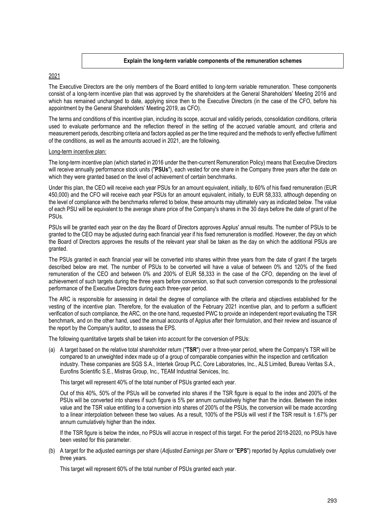### **Explain the long-term variable components of the remuneration schemes**

### 2021

The Executive Directors are the only members of the Board entitled to long-term variable remuneration. These components consist of a long-term incentive plan that was approved by the shareholders at the General Shareholders' Meeting 2016 and which has remained unchanged to date, applying since then to the Executive Directors (in the case of the CFO, before his appointment by the General Shareholders' Meeting 2019, as CFO).

The terms and conditions of this incentive plan, including its scope, accrual and validity periods, consolidation conditions, criteria used to evaluate performance and the reflection thereof in the setting of the accrued variable amount, and criteria and measurement periods, describing criteria and factors applied as per the time required and the methods to verify effective fulfilment of the conditions, as well as the amounts accrued in 2021, are the following.

### Long-term incentive plan:

The long-term incentive plan (which started in 2016 under the then-current Remuneration Policy) means that Executive Directors will receive annually performance stock units ("**PSUs**"), each vested for one share in the Company three years after the date on which they were granted based on the level of achievement of certain benchmarks.

Under this plan, the CEO will receive each year PSUs for an amount equivalent, initially, to 60% of his fixed remuneration (EUR 450,000) and the CFO will receive each year PSUs for an amount equivalent, initially, to EUR 58,333, although depending on the level of compliance with the benchmarks referred to below, these amounts may ultimately vary as indicated below. The value of each PSU will be equivalent to the average share price of the Company's shares in the 30 days before the date of grant of the PSUs.

PSUs will be granted each year on the day the Board of Directors approves Applus' annual results. The number of PSUs to be granted to the CEO may be adjusted during each financial year if his fixed remuneration is modified. However, the day on which the Board of Directors approves the results of the relevant year shall be taken as the day on which the additional PSUs are granted.

The PSUs granted in each financial year will be converted into shares within three years from the date of grant if the targets described below are met. The number of PSUs to be converted will have a value of between 0% and 120% of the fixed remuneration of the CEO and between 0% and 200% of EUR 58,333 in the case of the CFO, depending on the level of achievement of such targets during the three years before conversion, so that such conversion corresponds to the professional performance of the Executive Directors during each three-year period.

The ARC is responsible for assessing in detail the degree of compliance with the criteria and objectives established for the vesting of the incentive plan. Therefore, for the evaluation of the February 2021 incentive plan, and to perform a sufficient verification of such compliance, the ARC, on the one hand, requested PWC to provide an independent report evaluating the TSR benchmark, and on the other hand, used the annual accounts of Applus after their formulation, and their review and issuance of the report by the Company's auditor, to assess the EPS.

The following quantitative targets shall be taken into account for the conversion of PSUs:

(a) A target based on the relative total shareholder return ("**TSR**") over a three-year period, where the Company's TSR will be compared to an unweighted index made up of a group of comparable companies within the inspection and certification industry. These companies are SGS S.A., Intertek Group PLC, Core Laboratories, Inc., ALS Limited, Bureau Veritas S.A., Eurofins Scientific S.E., Mistras Group, Inc., TEAM Industrial Services, Inc.

This target will represent 40% of the total number of PSUs granted each year.

Out of this 40%, 50% of the PSUs will be converted into shares if the TSR figure is equal to the index and 200% of the PSUs will be converted into shares if such figure is 5% per annum cumulatively higher than the index. Between the index value and the TSR value entitling to a conversion into shares of 200% of the PSUs, the conversion will be made according to a linear interpolation between these two values. As a result, 100% of the PSUs will vest if the TSR result is 1.67% per annum cumulatively higher than the index.

If the TSR figure is below the index, no PSUs will accrue in respect of this target. For the period 2018-2020, no PSUs have been vested for this parameter.

(b) A target for the adjusted earnings per share (*Adjusted Earnings per Share* or "**EPS**") reported by Applus cumulatively over three years.

This target will represent 60% of the total number of PSUs granted each year.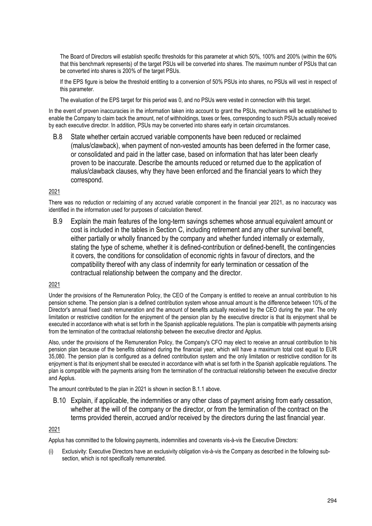The Board of Directors will establish specific thresholds for this parameter at which 50%, 100% and 200% (within the 60% that this benchmark represents) of the target PSUs will be converted into shares. The maximum number of PSUs that can be converted into shares is 200% of the target PSUs.

If the EPS figure is below the threshold entitling to a conversion of 50% PSUs into shares, no PSUs will vest in respect of this parameter.

The evaluation of the EPS target for this period was 0, and no PSUs were vested in connection with this target.

In the event of proven inaccuracies in the information taken into account to grant the PSUs, mechanisms will be established to enable the Company to claim back the amount, net of withholdings, taxes or fees, corresponding to such PSUs actually received by each executive director. In addition, PSUs may be converted into shares early in certain circumstances.

B.8 State whether certain accrued variable components have been reduced or reclaimed (malus/clawback), when payment of non-vested amounts has been deferred in the former case, or consolidated and paid in the latter case, based on information that has later been clearly proven to be inaccurate. Describe the amounts reduced or returned due to the application of malus/clawback clauses, why they have been enforced and the financial years to which they correspond.

### 2021

There was no reduction or reclaiming of any accrued variable component in the financial year 2021, as no inaccuracy was identified in the information used for purposes of calculation thereof.

B.9 Explain the main features of the long-term savings schemes whose annual equivalent amount or cost is included in the tables in Section C, including retirement and any other survival benefit, either partially or wholly financed by the company and whether funded internally or externally, stating the type of scheme, whether it is defined-contribution or defined-benefit, the contingencies it covers, the conditions for consolidation of economic rights in favour of directors, and the compatibility thereof with any class of indemnity for early termination or cessation of the contractual relationship between the company and the director.

### 2021

Under the provisions of the Remuneration Policy, the CEO of the Company is entitled to receive an annual contribution to his pension scheme. The pension plan is a defined contribution system whose annual amount is the difference between 10% of the Director's annual fixed cash remuneration and the amount of benefits actually received by the CEO during the year. The only limitation or restrictive condition for the enjoyment of the pension plan by the executive director is that its enjoyment shall be executed in accordance with what is set forth in the Spanish applicable regulations. The plan is compatible with payments arising from the termination of the contractual relationship between the executive director and Applus.

Also, under the provisions of the Remuneration Policy, the Company's CFO may elect to receive an annual contribution to his pension plan because of the benefits obtained during the financial year, which will have a maximum total cost equal to EUR 35,080. The pension plan is configured as a defined contribution system and the only limitation or restrictive condition for its enjoyment is that its enjoyment shall be executed in accordance with what is set forth in the Spanish applicable regulations. The plan is compatible with the payments arising from the termination of the contractual relationship between the executive director and Applus.

The amount contributed to the plan in 2021 is shown in section B.1.1 above.

B.10 Explain, if applicable, the indemnities or any other class of payment arising from early cessation, whether at the will of the company or the director, or from the termination of the contract on the terms provided therein, accrued and/or received by the directors during the last financial year.

### 2021

Applus has committed to the following payments, indemnities and covenants vis-à-vis the Executive Directors:

(i) Exclusivity: Executive Directors have an exclusivity obligation vis-à-vis the Company as described in the following subsection, which is not specifically remunerated.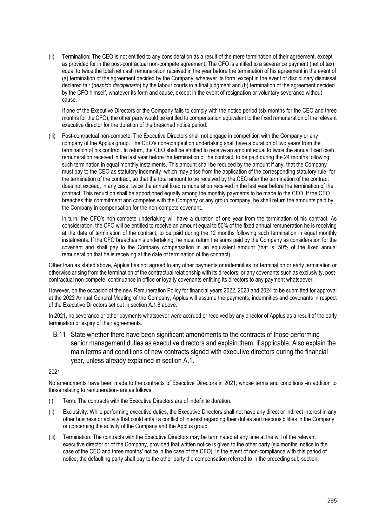(ii) Termination: The CEO is not entitled to any consideration as a result of the mere termination of their agreement, except as provided for in the post-contractual non-compete agreement. The CFO is entitled to a severance payment (net of tax) equal to twice the total net cash remuneration received in the year before the termination of his agreement in the event of (a) termination of the agreement decided by the Company, whatever its form, except in the event of disciplinary dismissal declared fair (*despido disciplinario*) by the labour courts in a final judgment and (b) termination of the agreement decided by the CFO himself, whatever its form and cause, except in the event of resignation or voluntary severance without cause.

If one of the Executive Directors or the Company fails to comply with the notice period (six months for the CEO and three months for the CFO), the other party would be entitled to compensation equivalent to the fixed remuneration of the relevant executive director for the duration of the breached notice period.

(iii) Post-contractual non-compete: The Executive Directors shall not engage in competition with the Company or any company of the Applus group. The CEO's non-competition undertaking shall have a duration of two years from the termination of his contract. In return, the CEO shall be entitled to receive an amount equal to twice the annual fixed cash remuneration received in the last year before the termination of the contract, to be paid during the 24 months following such termination in equal monthly instalments. This amount shall be reduced by the amount if any, that the Company must pay to the CEO as statutory indemnity -which may arise from the application of the corresponding statutory rule- for the termination of the contract, so that the total amount to be received by the CEO after the termination of the contract does not exceed, in any case, twice the annual fixed remuneration received in the last year before the termination of the contract. This reduction shall be apportioned equally among the monthly payments to be made to the CEO. If the CEO breaches this commitment and competes with the Company or any group company, he shall return the amounts paid by the Company in compensation for the non-compete covenant.

In turn, the CFO's non-compete undertaking will have a duration of one year from the termination of his contract. As consideration, the CFO will be entitled to receive an amount equal to 50% of the fixed annual remuneration he is receiving at the date of termination of the contract, to be paid during the 12 months following such termination in equal monthly instalments. If the CFO breaches his undertaking, he must return the sums paid by the Company as consideration for the covenant and shall pay to the Company compensation in an equivalent amount (that is, 50% of the fixed annual remuneration that he is receiving at the date of termination of the contract).

Other than as stated above, Applus has not agreed to any other payments or indemnities for termination or early termination or otherwise arising from the termination of the contractual relationship with its directors, or any covenants such as exclusivity, postcontractual non-compete, continuance in office or loyalty covenants entitling its directors to any payment whatsoever.

However, on the occasion of the new Remuneration Policy for financial years 2022, 2023 and 2024 to be submitted for approval at the 2022 Annual General Meeting of the Company, Applus will assume the payments, indemnities and covenants in respect of the Executive Directors set out in section A.1.8 above.

In 2021, no severance or other payments whatsoever were accrued or received by any director of Applus as a result of the early termination or expiry of their agreements.

B.11 State whether there have been significant amendments to the contracts of those performing senior management duties as executive directors and explain them, if applicable. Also explain the main terms and conditions of new contracts signed with executive directors during the financial year, unless already explained in section A.1.

2021

No amendments have been made to the contracts of Executive Directors in 2021, whose terms and conditions -in addition to those relating to remuneration- are as follows:

- (i) Term: The contracts with the Executive Directors are of indefinite duration.
- (ii) Exclusivity: While performing executive duties, the Executive Directors shall not have any direct or indirect interest in any other business or activity that could entail a conflict of interest regarding their duties and responsibilities in the Company or concerning the activity of the Company and the Applus group.
- (iii) Termination: The contracts with the Executive Directors may be terminated at any time at the will of the relevant executive director or of the Company, provided that written notice is given to the other party (six months' notice in the case of the CEO and three months' notice in the case of the CFO). In the event of non-compliance with this period of notice, the defaulting party shall pay to the other party the compensation referred to in the preceding sub-section.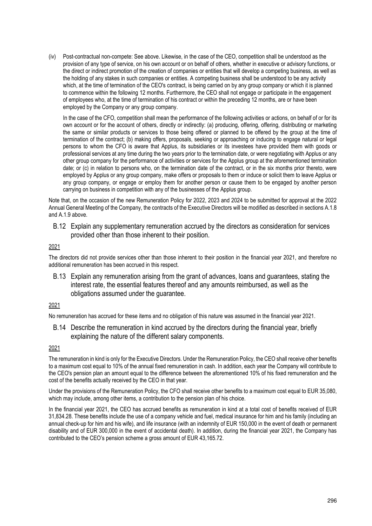(iv) Post-contractual non-compete: See above. Likewise, in the case of the CEO, competition shall be understood as the provision of any type of service, on his own account or on behalf of others, whether in executive or advisory functions, or the direct or indirect promotion of the creation of companies or entities that will develop a competing business, as well as the holding of any stakes in such companies or entities. A competing business shall be understood to be any activity which, at the time of termination of the CEO's contract, is being carried on by any group company or which it is planned to commence within the following 12 months. Furthermore, the CEO shall not engage or participate in the engagement of employees who, at the time of termination of his contract or within the preceding 12 months, are or have been employed by the Company or any group company.

In the case of the CFO, competition shall mean the performance of the following activities or actions, on behalf of or for its own account or for the account of others, directly or indirectly: (a) producing, offering, offering, distributing or marketing the same or similar products or services to those being offered or planned to be offered by the group at the time of termination of the contract; (b) making offers, proposals, seeking or approaching or inducing to engage natural or legal persons to whom the CFO is aware that Applus, its subsidiaries or its investees have provided them with goods or professional services at any time during the two years prior to the termination date, or were negotiating with Applus or any other group company for the performance of activities or services for the Applus group at the aforementioned termination date; or (c) in relation to persons who, on the termination date of the contract, or in the six months prior thereto, were employed by Applus or any group company, make offers or proposals to them or induce or solicit them to leave Applus or any group company, or engage or employ them for another person or cause them to be engaged by another person carrying on business in competition with any of the businesses of the Applus group.

Note that, on the occasion of the new Remuneration Policy for 2022, 2023 and 2024 to be submitted for approval at the 2022 Annual General Meeting of the Company, the contracts of the Executive Directors will be modified as described in sections A.1.8 and A.1.9 above.

B.12 Explain any supplementary remuneration accrued by the directors as consideration for services provided other than those inherent to their position.

### 2021

The directors did not provide services other than those inherent to their position in the financial year 2021, and therefore no additional remuneration has been accrued in this respect.

B.13 Explain any remuneration arising from the grant of advances, loans and guarantees, stating the interest rate, the essential features thereof and any amounts reimbursed, as well as the obligations assumed under the guarantee.

### 2021

No remuneration has accrued for these items and no obligation of this nature was assumed in the financial year 2021.

B.14 Describe the remuneration in kind accrued by the directors during the financial year, briefly explaining the nature of the different salary components.

### 2021

The remuneration in kind is only for the Executive Directors. Under the Remuneration Policy, the CEO shall receive other benefits to a maximum cost equal to 10% of the annual fixed remuneration in cash. In addition, each year the Company will contribute to the CEO's pension plan an amount equal to the difference between the aforementioned 10% of his fixed remuneration and the cost of the benefits actually received by the CEO in that year.

Under the provisions of the Remuneration Policy, the CFO shall receive other benefits to a maximum cost equal to EUR 35,080, which may include, among other items, a contribution to the pension plan of his choice.

In the financial year 2021, the CEO has accrued benefits as remuneration in kind at a total cost of benefits received of EUR 31,834.28. These benefits include the use of a company vehicle and fuel, medical insurance for him and his family (including an annual check-up for him and his wife), and life insurance (with an indemnity of EUR 150,000 in the event of death or permanent disability and of EUR 300,000 in the event of accidental death). In addition, during the financial year 2021, the Company has contributed to the CEO's pension scheme a gross amount of EUR 43,165.72.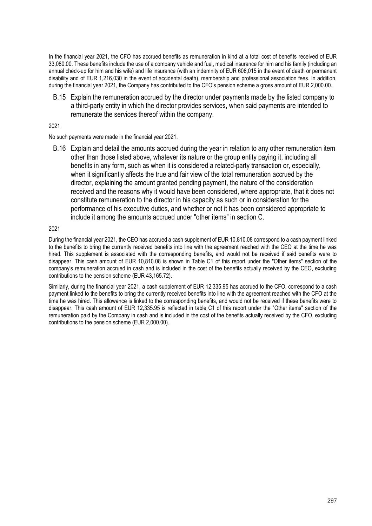In the financial year 2021, the CFO has accrued benefits as remuneration in kind at a total cost of benefits received of EUR 33,080.00. These benefits include the use of a company vehicle and fuel, medical insurance for him and his family (including an annual check-up for him and his wife) and life insurance (with an indemnity of EUR 608,015 in the event of death or permanent disability and of EUR 1,216,030 in the event of accidental death), membership and professional association fees. In addition, during the financial year 2021, the Company has contributed to the CFO's pension scheme a gross amount of EUR 2,000.00.

B.15 Explain the remuneration accrued by the director under payments made by the listed company to a third-party entity in which the director provides services, when said payments are intended to remunerate the services thereof within the company.

### 2021

No such payments were made in the financial year 2021.

B.16 Explain and detail the amounts accrued during the year in relation to any other remuneration item other than those listed above, whatever its nature or the group entity paying it, including all benefits in any form, such as when it is considered a related-party transaction or, especially, when it significantly affects the true and fair view of the total remuneration accrued by the director, explaining the amount granted pending payment, the nature of the consideration received and the reasons why it would have been considered, where appropriate, that it does not constitute remuneration to the director in his capacity as such or in consideration for the performance of his executive duties, and whether or not it has been considered appropriate to include it among the amounts accrued under "other items" in section C.

### 2021

During the financial year 2021, the CEO has accrued a cash supplement of EUR 10,810.08 correspond to a cash payment linked to the benefits to bring the currently received benefits into line with the agreement reached with the CEO at the time he was hired. This supplement is associated with the corresponding benefits, and would not be received if said benefits were to disappear. This cash amount of EUR 10,810.08 is shown in Table C1 of this report under the "Other items" section of the company's remuneration accrued in cash and is included in the cost of the benefits actually received by the CEO, excluding contributions to the pension scheme (EUR 43,165.72).

Similarly, during the financial year 2021, a cash supplement of EUR 12,335.95 has accrued to the CFO, correspond to a cash payment linked to the benefits to bring the currently received benefits into line with the agreement reached with the CFO at the time he was hired. This allowance is linked to the corresponding benefits, and would not be received if these benefits were to disappear. This cash amount of EUR 12,335.95 is reflected in table C1 of this report under the "Other items" section of the remuneration paid by the Company in cash and is included in the cost of the benefits actually received by the CFO, excluding contributions to the pension scheme (EUR 2,000.00).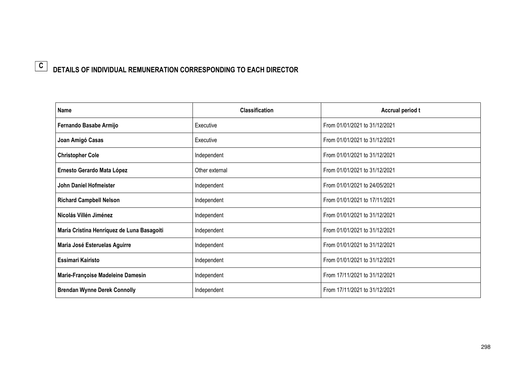### **DETAILS OF INDIVIDUAL REMUNERATION CORRESPONDING TO EACH DIRECTOR C**

| Name                                       | <b>Classification</b> | Accrual period t              |  |  |
|--------------------------------------------|-----------------------|-------------------------------|--|--|
| Fernando Basabe Armijo                     | Executive             | From 01/01/2021 to 31/12/2021 |  |  |
| Joan Amigó Casas                           | Executive             | From 01/01/2021 to 31/12/2021 |  |  |
| <b>Christopher Cole</b>                    | Independent           | From 01/01/2021 to 31/12/2021 |  |  |
| Ernesto Gerardo Mata López                 | Other external        | From 01/01/2021 to 31/12/2021 |  |  |
| John Daniel Hofmeister                     | Independent           | From 01/01/2021 to 24/05/2021 |  |  |
| <b>Richard Campbell Nelson</b>             | Independent           | From 01/01/2021 to 17/11/2021 |  |  |
| Nicolás Villén Jiménez                     | Independent           | From 01/01/2021 to 31/12/2021 |  |  |
| María Cristina Henríquez de Luna Basagoiti | Independent           | From 01/01/2021 to 31/12/2021 |  |  |
| Maria José Esteruelas Aguirre              | Independent           | From 01/01/2021 to 31/12/2021 |  |  |
| Essimari Kairisto                          | Independent           | From 01/01/2021 to 31/12/2021 |  |  |
| Marie-Françoise Madeleine Damesin          | Independent           | From 17/11/2021 to 31/12/2021 |  |  |
| <b>Brendan Wynne Derek Connolly</b>        | Independent           | From 17/11/2021 to 31/12/2021 |  |  |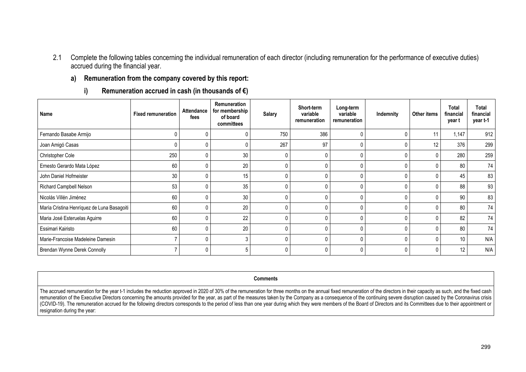- 2.1 Complete the following tables concerning the individual remuneration of each director (including remuneration for the performance of executive duties) accrued during the financial year.
	- **a) Remuneration from the company covered by this report:** 
		- **i)Remuneration accrued in cash (in thousands of €)**

| Name                                       | <b>Fixed remuneration</b> | <b>Attendance</b><br>fees | Remuneration<br>for membership<br>of board<br>committees | <b>Salary</b> | Short-term<br>variable<br>remuneration | Long-term<br>variable<br>remuneration | Indemnity | Other items     | Total<br>financial<br>year t | <b>Total</b><br>financial<br>year t-1 |
|--------------------------------------------|---------------------------|---------------------------|----------------------------------------------------------|---------------|----------------------------------------|---------------------------------------|-----------|-----------------|------------------------------|---------------------------------------|
| Fernando Basabe Armijo                     |                           |                           | $\Omega$                                                 | 750           | 386                                    | $\mathfrak{c}$                        |           | 11              | 1,147                        | 912                                   |
| Joan Amigó Casas                           |                           |                           | 0                                                        | 267           | 97                                     | $\mathsf{C}$                          |           | 12 <sup>°</sup> | 376                          | 299                                   |
| Christopher Cole                           | 250                       |                           | 30                                                       | 0             |                                        | C                                     | 0         |                 | 280                          | 259                                   |
| Ernesto Gerardo Mata López                 | 60                        |                           | 20                                                       | 0             |                                        | $\mathsf{C}$                          | 0         |                 | 80                           | 74                                    |
| John Daniel Hofmeister                     | 30                        |                           | 15                                                       | 0             |                                        |                                       | 0         |                 | 45                           | 83                                    |
| <b>Richard Campbell Nelson</b>             | 53                        |                           | 35                                                       | 0             |                                        | $\mathcal{C}$                         | 0         |                 | 88                           | 93                                    |
| Nicolás Villén Jiménez                     | 60                        |                           | 30                                                       | 0             |                                        | $\mathsf{C}$                          |           |                 | 90                           | 83                                    |
| María Cristina Henríquez de Luna Basagoiti | 60                        |                           | 20                                                       | 0             |                                        | $\mathcal{C}$                         | 0         |                 | 80                           | 74                                    |
| Maria José Esteruelas Aguirre              | 60                        |                           | 22                                                       | 0             |                                        | $\mathsf{C}$                          |           |                 | 82                           | 74                                    |
| Essimari Kairisto                          | 60                        |                           | 20                                                       | $\mathbf{0}$  |                                        | $\mathfrak{c}$                        |           |                 | 80                           | 74                                    |
| Marie-Francoise Madeleine Damesin          |                           |                           | 3                                                        | 0             |                                        | $\mathsf{C}$                          | 0         |                 | 10                           | N/A                                   |
| Brendan Wynne Derek Connolly               |                           |                           | 5                                                        | 0             |                                        |                                       |           |                 | 12                           | N/A                                   |

**Comments** 

The accrued remuneration for the year t-1 includes the reduction approved in 2020 of 30% of the remuneration for three months on the annual fixed remuneration of the directors in their capacity as such, and the fixed cash remuneration of the Executive Directors concerning the amounts provided for the year, as part of the measures taken by the Company as a consequence of the continuing severe disruption caused by the Coronavirus crisis (COVID-19). The remuneration accrued for the following directors corresponds to the period of less than one year during which they were members of the Board of Directors and its Committees due to their appointment or resignation during the year: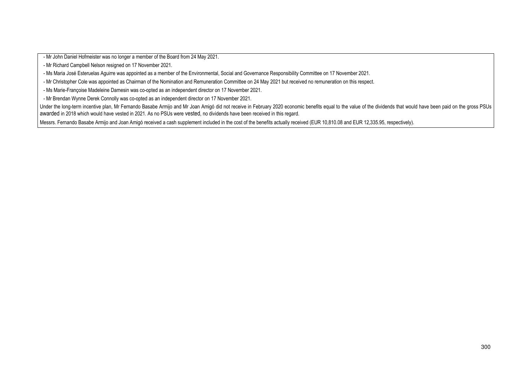M Mon Design bester was expertent the Sun Mond Sun Monday Star Star Star Star Star Star Star Monday Science in<br>- an wood Car Star Monday Science of the Design Sun Monday Science Section Contener Section Comments on Flowe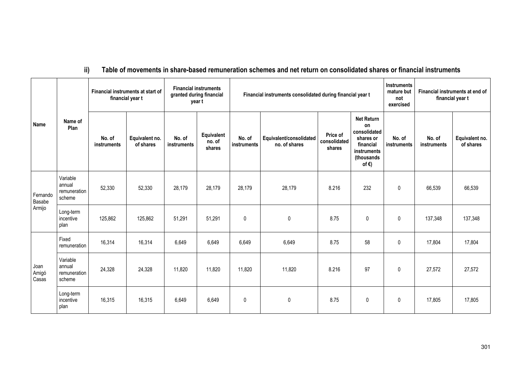#### **ii)Table of movements in share-based remuneration schemes and net return on consolidated shares or financial instruments**

|                        |                                              |                       | Financial instruments at start of<br>financial year t | <b>Financial instruments</b><br>granted during financial<br>year t |                                |                       | Financial instruments consolidated during financial year t | <b>Instruments</b><br>mature but<br>not<br>exercised | Financial instruments at end of<br>financial year t                                                               |                       |                              |                             |
|------------------------|----------------------------------------------|-----------------------|-------------------------------------------------------|--------------------------------------------------------------------|--------------------------------|-----------------------|------------------------------------------------------------|------------------------------------------------------|-------------------------------------------------------------------------------------------------------------------|-----------------------|------------------------------|-----------------------------|
| Name                   | Name of<br>Plan                              | No. of<br>instruments | Equivalent no.<br>of shares                           | No. of<br>instruments                                              | Equivalent<br>no. of<br>shares | No. of<br>instruments | Equivalent/consolidated<br>no. of shares                   | Price of<br>consolidated<br>shares                   | <b>Net Return</b><br>on<br>consolidated<br>shares or<br>financial<br>instruments<br>(thousands<br>of $\epsilon$ ) | No. of<br>instruments | No. of<br><b>instruments</b> | Equivalent no.<br>of shares |
| Fernando<br>Basabe     | Variable<br>annual<br>remuneration<br>scheme | 52,330                | 52,330                                                | 28,179                                                             | 28,179                         | 28,179                | 28,179                                                     | 8.216                                                | 232                                                                                                               | $\mathbf{0}$          | 66,539                       | 66,539                      |
| Armijo                 | Long-term<br>incentive<br>plan               | 125,862               | 125,862                                               | 51,291                                                             | 51,291                         | $\pmb{0}$             | $\mathbf{0}$                                               | 8.75                                                 | 0                                                                                                                 | 0                     | 137,348                      | 137,348                     |
|                        | Fixed<br>remuneration                        | 16,314                | 16,314                                                | 6,649                                                              | 6,649                          | 6,649                 | 6,649                                                      | 8.75                                                 | 58                                                                                                                | 0                     | 17,804                       | 17,804                      |
| Joan<br>Amigó<br>Casas | Variable<br>annual<br>remuneration<br>scheme | 24,328                | 24,328                                                | 11,820                                                             | 11,820                         | 11,820                | 11,820                                                     | 8.216                                                | 97                                                                                                                | 0                     | 27,572                       | 27,572                      |
|                        | Long-term<br>incentive<br>plan               | 16,315                | 16,315                                                | 6,649                                                              | 6,649                          | $\mathbf{0}$          | $\mathbf{0}$                                               | 8.75                                                 | $\mathbf{0}$                                                                                                      | $\mathbf{0}$          | 17,805                       | 17,805                      |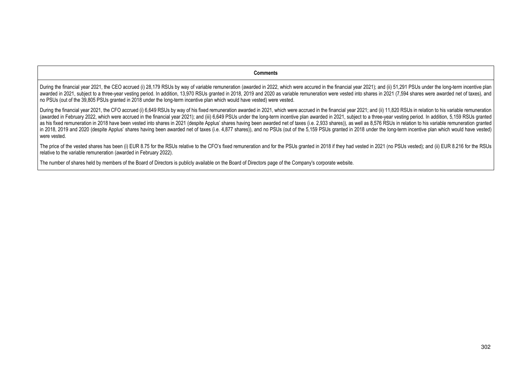#### **Comments**

During the financial year 2021, the CEO accrued (i) 28,179 RSUs by way of variable remuneration (awarded in 2022, which were accured in the financial year 2021); and (ii) 51,291 PSUs under the long-term incentive plan awarded in 2021, subject to a three-year vesting period. In addition, 13,970 RSUs granted in 2018, 2019 and 2020 as variable remuneration were vested into shares in 2021 (7,594 shares were awarded net of taxes), and no PSUs (out of the 39,805 PSUs granted in 2018 under the long-term incentive plan which would have vested) were vested.

During the financial year 2021, the CFO accrued (i) 6,649 RSUs by way of his fixed remuneration awarded in 2021, which were accrued in the financial year 2021; and (ii) 11,820 RSUs in relation to his variable remuneration (awarded in February 2022, which were accrued in the financial year 2021); and (iii) 6,649 PSUs under the long-term incentive plan awarded in 2021, subject to a three-year vesting period. In addition, 5,159 RSUs granted as his fixed remuneration in 2018 have been vested into shares in 2021 (despite Applus' shares having been awarded net of taxes (i.e. 2,933 shares)), as well as 8,576 RSUs in relation to his variable remuneration granted in 2018, 2019 and 2020 (despite Applus' shares having been awarded net of taxes (i.e. 4,877 shares)), and no PSUs (out of the 5,159 PSUs granted in 2018 under the long-term incentive plan which would have vested) were vested.

The price of the vested shares has been (i) EUR 8.75 for the RSUs relative to the CFO's fixed remuneration and for the PSUs granted in 2018 if they had vested in 2021 (no PSUs vested); and (ii) EUR 8.216 for the RSUs relative to the variable remuneration (awarded in February 2022).

The number of shares held by members of the Board of Directors is publicly available on the Board of Directors page of the Company's corporate website.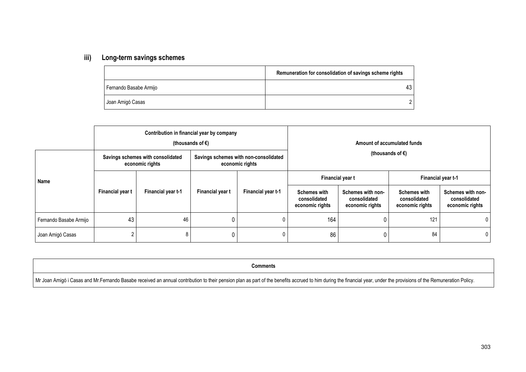#### **iii)Long-term savings schemes**

|                        | Remuneration for consolidation of savings scheme rights |
|------------------------|---------------------------------------------------------|
| Fernando Basabe Armijo | 43                                                      |
| Joan Amigó Casas       |                                                         |

|                        |                  | Contribution in financial year by company            | (thousands of $\epsilon$ ) |                                                          | Amount of accumulated funds<br>(thousands of $\epsilon$ ) |                                                      |                                                        |                                                      |  |
|------------------------|------------------|------------------------------------------------------|----------------------------|----------------------------------------------------------|-----------------------------------------------------------|------------------------------------------------------|--------------------------------------------------------|------------------------------------------------------|--|
|                        |                  | Savings schemes with consolidated<br>economic rights |                            | Savings schemes with non-consolidated<br>economic rights |                                                           |                                                      |                                                        |                                                      |  |
| Name                   |                  |                                                      |                            |                                                          | Financial year t                                          |                                                      | Financial year t-1                                     |                                                      |  |
|                        | Financial year t | Financial year t-1                                   | Financial year t           | Financial year t-1                                       | <b>Schemes with</b><br>consolidated<br>economic rights    | Schemes with non-<br>consolidated<br>economic rights | <b>Schemes with</b><br>consolidated<br>economic rights | Schemes with non-<br>consolidated<br>economic rights |  |
| Fernando Basabe Armijo | 43               | 46                                                   |                            |                                                          | 164                                                       | 0                                                    | 121                                                    | 0                                                    |  |
| Joan Amigó Casas       |                  | 8                                                    |                            |                                                          | 86                                                        | 0                                                    | 84                                                     | $\overline{0}$                                       |  |

**Comments** 

Mr Joan Amigó i Casas and Mr.Fernando Basabe received an annual contribution to their pension plan as part of the benefits accrued to him during the financial year, under the provisions of the Remuneration Policy.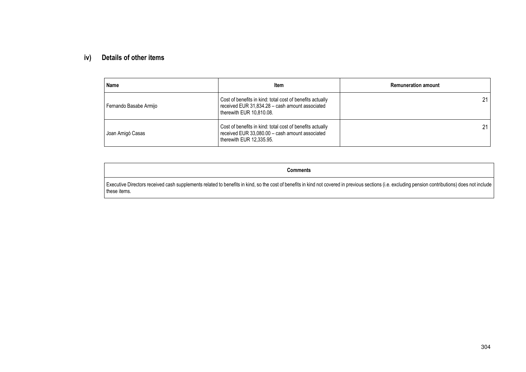#### **iv)Details of other items**

| Name                   | <b>Item</b>                                                                                                                              | <b>Remuneration amount</b> |
|------------------------|------------------------------------------------------------------------------------------------------------------------------------------|----------------------------|
| Fernando Basabe Armijo | Cost of benefits in kind: total cost of benefits actually<br>received EUR 31,834.28 - cash amount associated<br>therewith EUR 10,810.08. | 21                         |
| Joan Amigó Casas       | Cost of benefits in kind: total cost of benefits actually<br>received EUR 33,080.00 - cash amount associated<br>therewith EUR 12,335.95. | 21                         |

**Comments** 

Executive Directors received cash supplements related to benefits in kind, so the cost of benefits in kind not covered in previous sections (i.e. excluding pension contributions) does not include these items.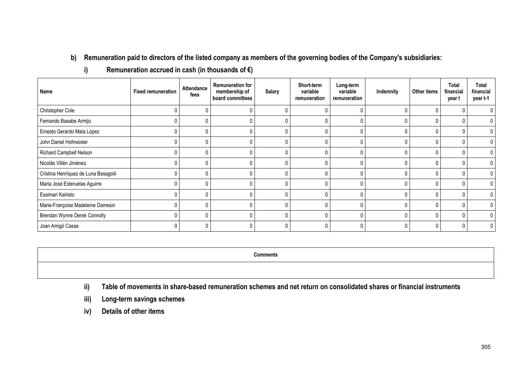**b) Remuneration paid to directors of the listed company as members of the governing bodies of the Company's subsidiaries:** 

| Name                                 | <b>Fixed remuneration</b> | Attendance<br>fees | <b>Remuneration for</b><br>membership of<br>board committees | <b>Salary</b> | Short-term<br>variable<br>remuneration | Long-term<br>variable<br>remuneration | Indemnity | Other items | <b>Total</b><br>financial<br>year t | Total<br>financial<br>year t-1 |
|--------------------------------------|---------------------------|--------------------|--------------------------------------------------------------|---------------|----------------------------------------|---------------------------------------|-----------|-------------|-------------------------------------|--------------------------------|
| Christopher Cole                     | 0                         |                    |                                                              |               |                                        |                                       |           |             |                                     | 0                              |
| Fernando Basabe Armijo               | 0                         |                    |                                                              |               |                                        |                                       |           |             |                                     | 0                              |
| Ernesto Gerardo Mata López           | 0                         |                    |                                                              |               |                                        |                                       |           |             | 0                                   | 0                              |
| John Daniel Hofmeister               | 0                         |                    |                                                              |               |                                        |                                       |           |             |                                     | 0                              |
| <b>Richard Campbell Nelson</b>       | 0                         | 0                  |                                                              |               |                                        |                                       |           | $\Omega$    |                                     | 0                              |
| Nicolás Villén Jiménez               | 0                         |                    |                                                              |               |                                        |                                       |           |             |                                     | 0                              |
| Cristina Henríquez de Luna Basagoiti | 0                         |                    |                                                              |               |                                        |                                       |           |             | 0                                   | 0                              |
| Maria José Esteruelas Aguirre        | 0                         |                    |                                                              |               |                                        |                                       |           |             |                                     | 0                              |
| Essimari Kairisto                    | 0                         |                    |                                                              |               |                                        |                                       |           |             |                                     | 0                              |
| Marie-Françoise Madeleine Damesin    | 0                         |                    |                                                              |               |                                        |                                       |           |             |                                     | 0                              |
| Brendan Wynne Derek Connolly         | 0                         |                    |                                                              |               |                                        |                                       | 0         |             |                                     | 0                              |
| Joan Amigó Casas                     | 0                         |                    |                                                              |               |                                        |                                       |           |             |                                     | 0                              |

**i)Remuneration accrued in cash (in thousands of €)** 

**ii)Table of movements in share-based remuneration schemes and net return on consolidated shares or financial instruments** 

**Comments** 

- **iii)Long-term savings schemes**
- **iv)Details of other items**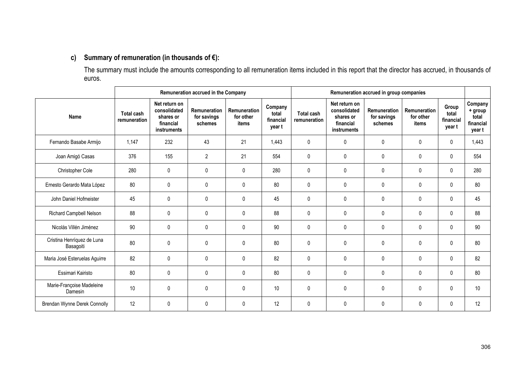## **c) Summary of remuneration (in thousands of €):**

The summary must include the amounts corresponding to all remuneration items included in this report that the director has accrued, in thousands of euros.

|                                         |                            |                                                                        | Remuneration accrued in the Company    |                                                  |                                         | Remuneration accrued in group companies |                                                                        |                                        |                                    |                                       |                                                    |
|-----------------------------------------|----------------------------|------------------------------------------------------------------------|----------------------------------------|--------------------------------------------------|-----------------------------------------|-----------------------------------------|------------------------------------------------------------------------|----------------------------------------|------------------------------------|---------------------------------------|----------------------------------------------------|
| Name                                    | Total cash<br>remuneration | Net return on<br>consolidated<br>shares or<br>financial<br>instruments | Remuneration<br>for savings<br>schemes | <b>Remuneration</b><br>for other<br><b>items</b> | Company<br>total<br>financial<br>year t | <b>Total cash</b><br>remuneration       | Net return on<br>consolidated<br>shares or<br>financial<br>instruments | Remuneration<br>for savings<br>schemes | Remuneration<br>for other<br>items | Group<br>total<br>financial<br>year t | Company<br>+ group<br>total<br>financial<br>year t |
| Fernando Basabe Armijo                  | 1,147                      | 232                                                                    | 43                                     | 21                                               | 1,443                                   | $\mathbf{0}$                            | $\mathbf{0}$                                                           | 0                                      | 0                                  | $\mathbf 0$                           | 1,443                                              |
| Joan Amigó Casas                        | 376                        | 155                                                                    | $\overline{2}$                         | 21                                               | 554                                     | $\mathbf 0$                             | 0                                                                      | 0                                      | 0                                  | 0                                     | 554                                                |
| Christopher Cole                        | 280                        | 0                                                                      | $\pmb{0}$                              | 0                                                | 280                                     | $\mathbf 0$                             | 0                                                                      | 0                                      | 0                                  | 0                                     | 280                                                |
| Ernesto Gerardo Mata López              | 80                         | $\mathbf{0}$                                                           | $\mathbf 0$                            | 0                                                | 80                                      | $\mathbf{0}$                            | $\mathbf{0}$                                                           | $\mathbf{0}$                           | $\mathbf{0}$                       | 0                                     | 80                                                 |
| John Daniel Hofmeister                  | 45                         | 0                                                                      | 0                                      | 0                                                | 45                                      | $\mathbf 0$                             | $\mathbf{0}$                                                           | 0                                      | 0                                  | 0                                     | 45                                                 |
| Richard Campbell Nelson                 | 88                         | $\mathbf{0}$                                                           | 0                                      | $\mathbf 0$                                      | 88                                      | $\mathbf{0}$                            | $\mathbf{0}$                                                           | 0                                      | $\pmb{0}$                          | 0                                     | 88                                                 |
| Nicolás Villén Jiménez                  | 90                         | 0                                                                      | 0                                      | 0                                                | 90                                      | $\mathbf 0$                             | 0                                                                      | 0                                      | 0                                  | 0                                     | 90                                                 |
| Cristina Henríquez de Luna<br>Basagoiti | 80                         | 0                                                                      | 0                                      | 0                                                | 80                                      | 0                                       | 0                                                                      | 0                                      | $\mathbf{0}$                       | 0                                     | 80                                                 |
| Maria José Esteruelas Aguirre           | 82                         | 0                                                                      | $\mathbf 0$                            | 0                                                | 82                                      | $\mathbf 0$                             | 0                                                                      | 0                                      | 0                                  | 0                                     | 82                                                 |
| Essimari Kairisto                       | 80                         | 0                                                                      | $\pmb{0}$                              | 0                                                | 80                                      | 0                                       | 0                                                                      | 0                                      | $\mathbf 0$                        | 0                                     | 80                                                 |
| Marie-Françoise Madeleine<br>Damesin    | 10                         | 0                                                                      | $\mathbf 0$                            | 0                                                | 10                                      | $\mathbf 0$                             | $\mathbf{0}$                                                           | 0                                      | 0                                  | 0                                     | 10                                                 |
| Brendan Wynne Derek Connolly            | 12                         | 0                                                                      | 0                                      | 0                                                | 12                                      | $\mathbf{0}$                            | $\mathbf{0}$                                                           | 0                                      | 0                                  | 0                                     | 12                                                 |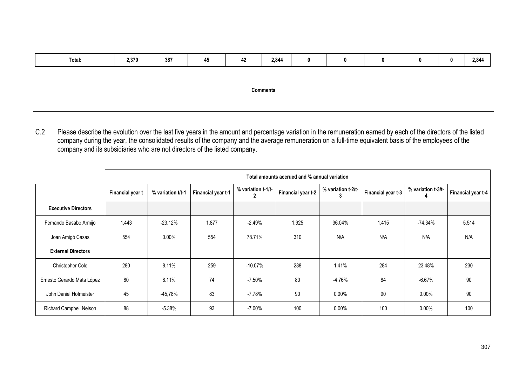| Total: | 2,370 | 387 | - - | $\sim$ $\sim$<br>-- | 2,844 |  |  |  |  |  | 2,844 |
|--------|-------|-----|-----|---------------------|-------|--|--|--|--|--|-------|
|--------|-------|-----|-----|---------------------|-------|--|--|--|--|--|-------|

| <b>Comments</b> |
|-----------------|
|                 |

C.2 Please describe the evolution over the last five years in the amount and percentage variation in the remuneration earned by each of the directors of the listed company during the year, the consolidated results of the company and the average remuneration on a full-time equivalent basis of the employees of the company and its subsidiaries who are not directors of the listed company.

|                                | Total amounts accrued and % annual variation |                   |                    |                    |                    |                    |                    |                    |                    |  |
|--------------------------------|----------------------------------------------|-------------------|--------------------|--------------------|--------------------|--------------------|--------------------|--------------------|--------------------|--|
|                                | Financial year t                             | % variation t/t-1 | Financial year t-1 | % variation t-1/t- | Financial year t-2 | % variation t-2/t- | Financial year t-3 | % variation t-3/t- | Financial year t-4 |  |
| <b>Executive Directors</b>     |                                              |                   |                    |                    |                    |                    |                    |                    |                    |  |
| Fernando Basabe Armijo         | 1,443                                        | $-23.12%$         | 1,877              | $-2.49%$           | 1,925              | 36.04%             | 1,415              | $-74.34%$          | 5,514              |  |
| Joan Amigó Casas               | 554                                          | $0.00\%$          | 554                | 78.71%             | 310                | N/A                | N/A                | N/A                | N/A                |  |
| <b>External Directors</b>      |                                              |                   |                    |                    |                    |                    |                    |                    |                    |  |
| <b>Christopher Cole</b>        | 280                                          | 8.11%             | 259                | $-10.07\%$         | 288                | 1.41%              | 284                | 23.48%             | 230                |  |
| Ernesto Gerardo Mata López     | 80                                           | 8.11%             | 74                 | $-7.50\%$          | 80                 | $-4.76%$           | 84                 | $-6.67%$           | 90                 |  |
| John Daniel Hofmeister         | 45                                           | -45,78%           | 83                 | $-7.78%$           | 90                 | $0.00\%$           | 90                 | $0.00\%$           | 90                 |  |
| <b>Richard Campbell Nelson</b> | 88                                           | $-5.38%$          | 93                 | $-7.00\%$          | 100                | $0.00\%$           | 100                | $0.00\%$           | 100                |  |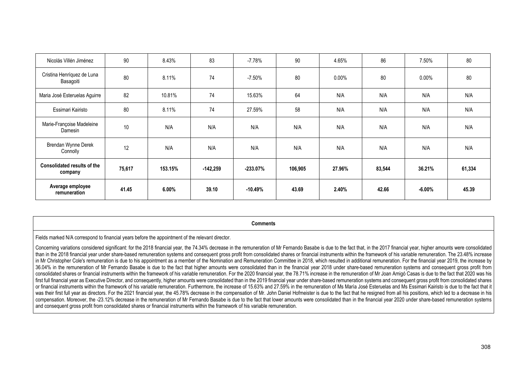| Nicolás Villén Jiménez                        | 90     | 8.43%    | 83         | $-7.78\%$  | 90      | 4.65%    | 86     | 7.50%     | 80     |
|-----------------------------------------------|--------|----------|------------|------------|---------|----------|--------|-----------|--------|
| Cristina Henríquez de Luna<br>Basagoiti       | 80     | 8.11%    | 74         | $-7.50\%$  | 80      | $0.00\%$ | 80     | $0.00\%$  | 80     |
| Maria José Esteruelas Aguirre                 | 82     | 10.81%   | 74         | 15.63%     | 64      | N/A      | N/A    | N/A       | N/A    |
| Essimari Kairisto                             | 80     | 8.11%    | 74         | 27.59%     | 58      | N/A      | N/A    | N/A       | N/A    |
| Marie-Françoise Madeleine<br>Damesin          | 10     | N/A      | N/A        | N/A        | N/A     | N/A      | N/A    | N/A       | N/A    |
| Brendan Wynne Derek<br>Connolly               | 12     | N/A      | N/A        | N/A        | N/A     | N/A      | N/A    | N/A       | N/A    |
| <b>Consolidated results of the</b><br>company | 75,617 | 153.15%  | $-142,259$ | $-233.07%$ | 106,905 | 27.96%   | 83,544 | 36.21%    | 61,334 |
| Average employee<br>remuneration              | 41.45  | $6.00\%$ | 39.10      | $-10.49%$  | 43.69   | 2.40%    | 42.66  | $-6.00\%$ | 45.39  |

**Comments** 

Fields marked N/A correspond to financial years before the appointment of the relevant director.

Concerning variations considered significant: for the 2018 financial year, the 74.34% decrease in the remuneration of Mr Fernando Basabe is due to the fact that, in the 2017 financial year, higher amounts were consolidated than in the 2018 financial year under share-based remuneration systems and consequent gross profit from consolidated shares or financial instruments within the framework of his variable remuneration. The 23.48% increase in Mr Christopher Cole's remuneration is due to his appointment as a member of the Nomination and Remuneration Committee in 2018, which resulted in additional remuneration. For the financial year 2019, the increase by 36.04% in the remuneration of Mr Fernando Basabe is due to the fact that higher amounts were consolidated than in the financial year 2018 under share-based remuneration systems and consequent gross profit from consolidated shares or financial instruments within the framework of his variable remuneration. For the 2020 financial year, the 78.71% increase in the remuneration of Mr Joan Amigó Casas is due to the fact that 2020 was h first full financial year as Executive Director, and consequently, higher amounts were consolidated than in the 2019 financial year under share-based remuneration systems and consequent gross profit from consolidated share or financial instruments within the framework of his variable remuneration. Furthermore, the increase of 15.63% and 27.59% in the remuneration of Ms María José Esteruelas and Ms Essimari Kairisto is due to the fact that it was their first full year as directors. For the 2021 financial year, the 45.78% decrease in the compensation of Mr. John Daniel Hofmeister is due to the fact that he resigned from all his positions, which led to a decrease compensation. Moreover, the -23.12% decrease in the remuneration of Mr Fernando Basabe is due to the fact that lower amounts were consolidated than in the financial year 2020 under share-based remuneration systems and consequent gross profit from consolidated shares or financial instruments within the framework of his variable remuneration.